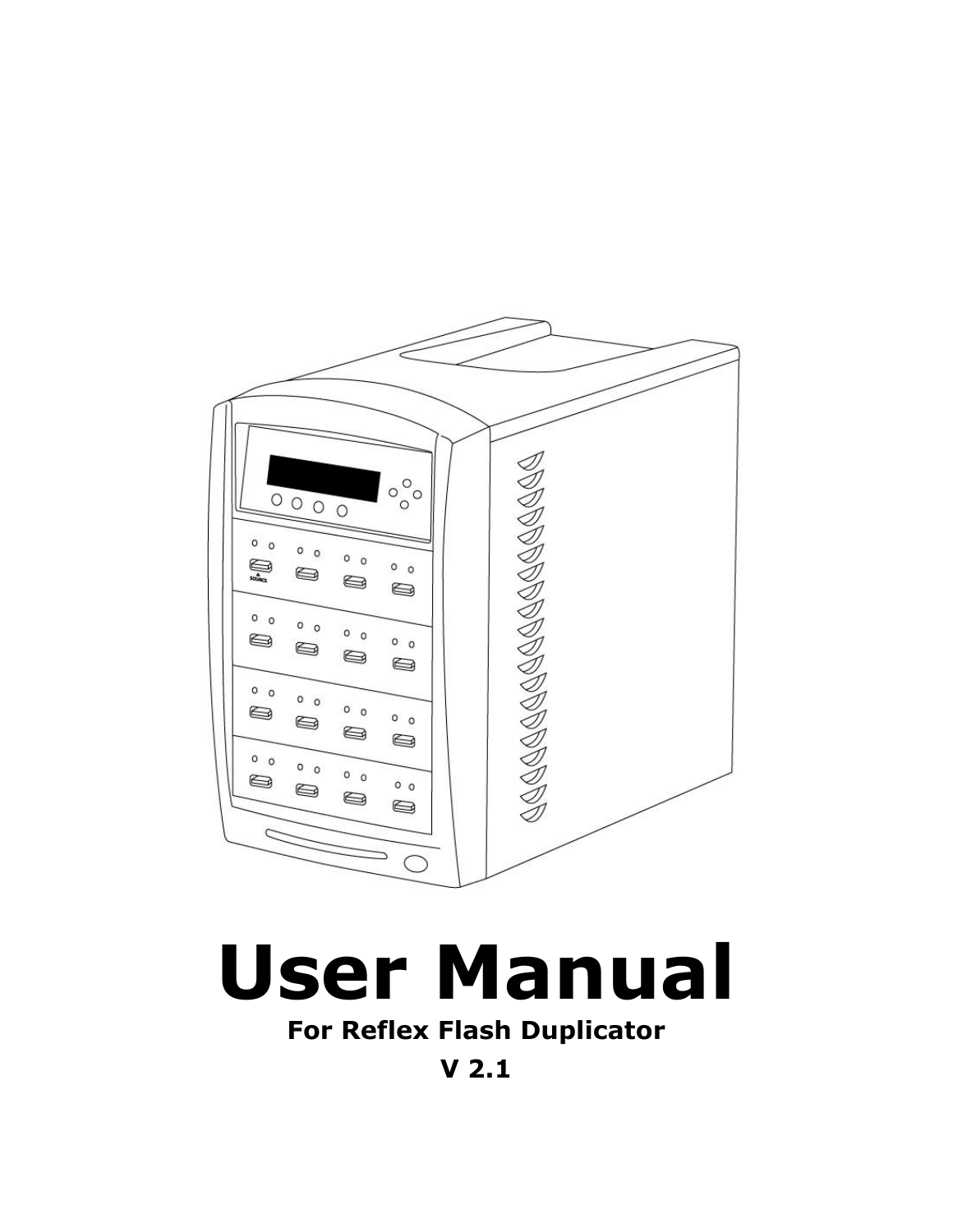

# **User Manual**

**For Reflex Flash Duplicator**

**V 2.1**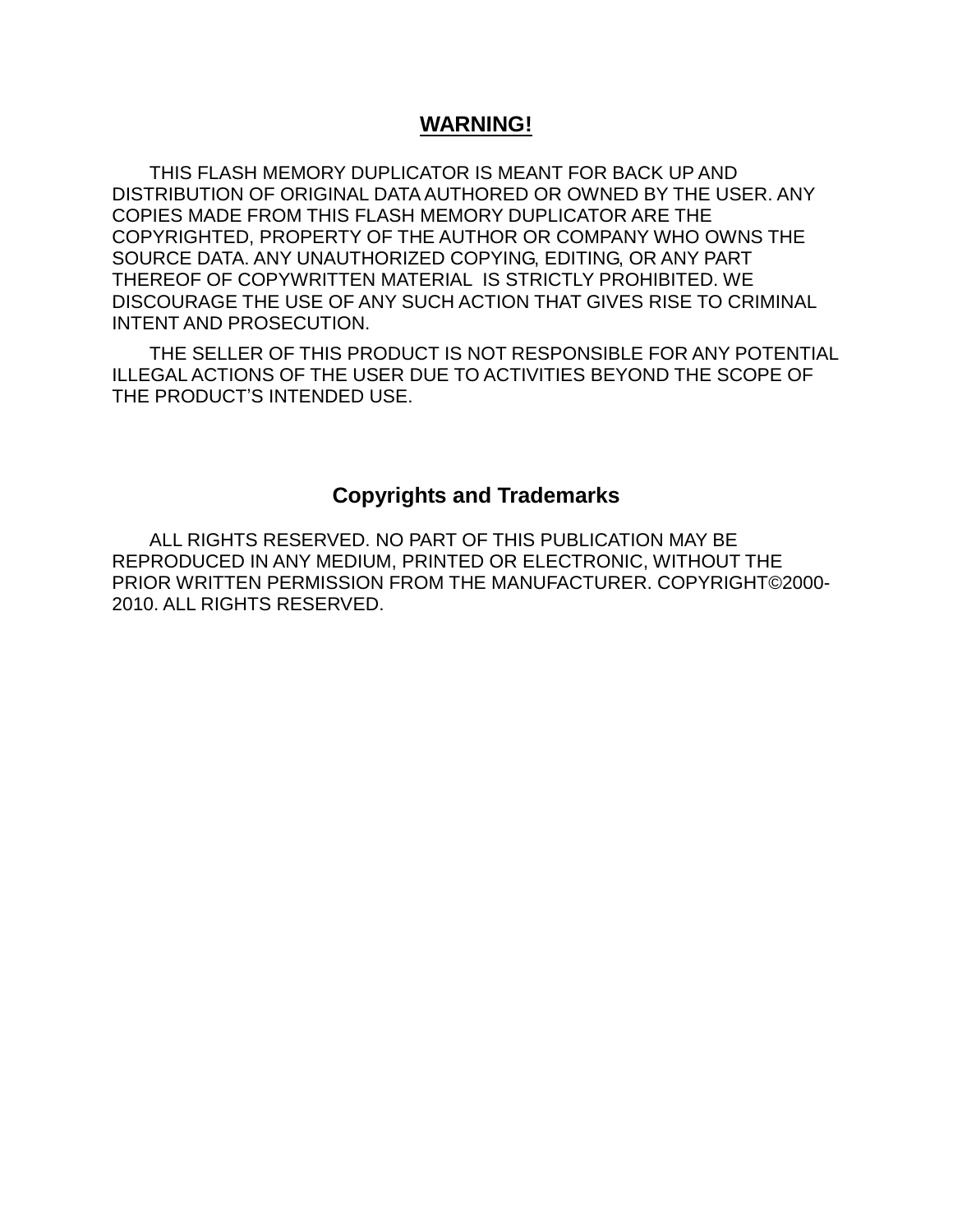#### **WARNING!**

THIS FLASH MEMORY DUPLICATOR IS MEANT FOR BACK UP AND DISTRIBUTION OF ORIGINAL DATA AUTHORED OR OWNED BY THE USER. ANY COPIES MADE FROM THIS FLASH MEMORY DUPLICATOR ARE THE COPYRIGHTED, PROPERTY OF THE AUTHOR OR COMPANY WHO OWNS THE SOURCE DATA. ANY UNAUTHORIZED COPYING, EDITING, OR ANY PART THEREOF OF COPYWRITTEN MATERIAL IS STRICTLY PROHIBITED. WE DISCOURAGE THE USE OF ANY SUCH ACTION THAT GIVES RISE TO CRIMINAL INTENT AND PROSECUTION.

THE SELLER OF THIS PRODUCT IS NOT RESPONSIBLE FOR ANY POTENTIAL ILLEGAL ACTIONS OF THE USER DUE TO ACTIVITIES BEYOND THE SCOPE OF THE PRODUCT'S INTENDED USE.

#### **Copyrights and Trademarks**

ALL RIGHTS RESERVED. NO PART OF THIS PUBLICATION MAY BE REPRODUCED IN ANY MEDIUM, PRINTED OR ELECTRONIC, WITHOUT THE PRIOR WRITTEN PERMISSION FROM THE MANUFACTURER. COPYRIGHT©2000- 2010. ALL RIGHTS RESERVED.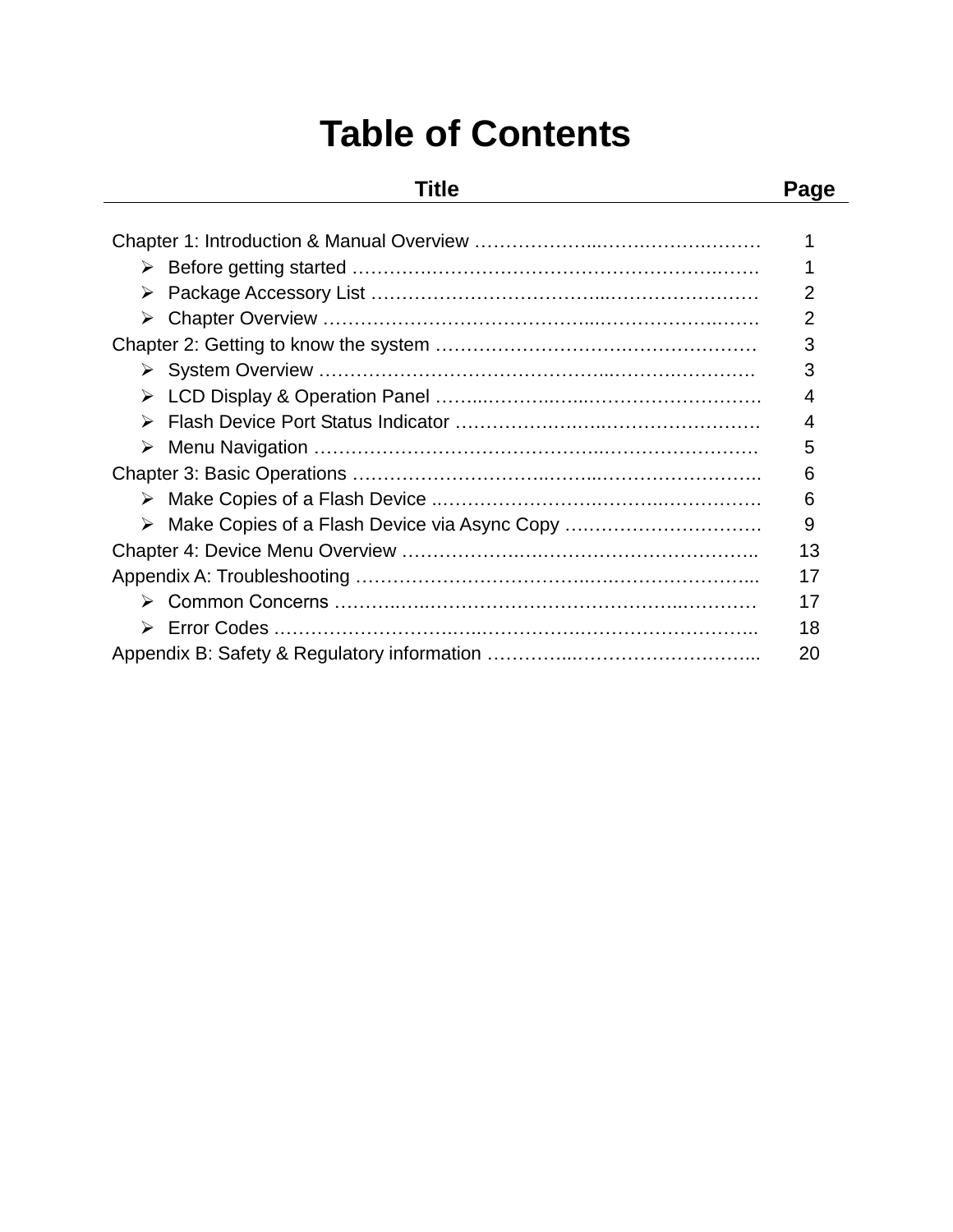## **Table of Contents**

### **Title Page**

| ➤ |                                                | 2  |
|---|------------------------------------------------|----|
| ➤ |                                                | 2  |
|   |                                                | 3  |
|   |                                                | 3  |
| ➤ |                                                | 4  |
|   |                                                | 4  |
|   |                                                | 5  |
|   |                                                | 6  |
|   |                                                | 6  |
|   | > Make Copies of a Flash Device via Async Copy | 9  |
|   |                                                | 13 |
|   |                                                | 17 |
|   |                                                | 17 |
|   |                                                | 18 |
|   |                                                | 20 |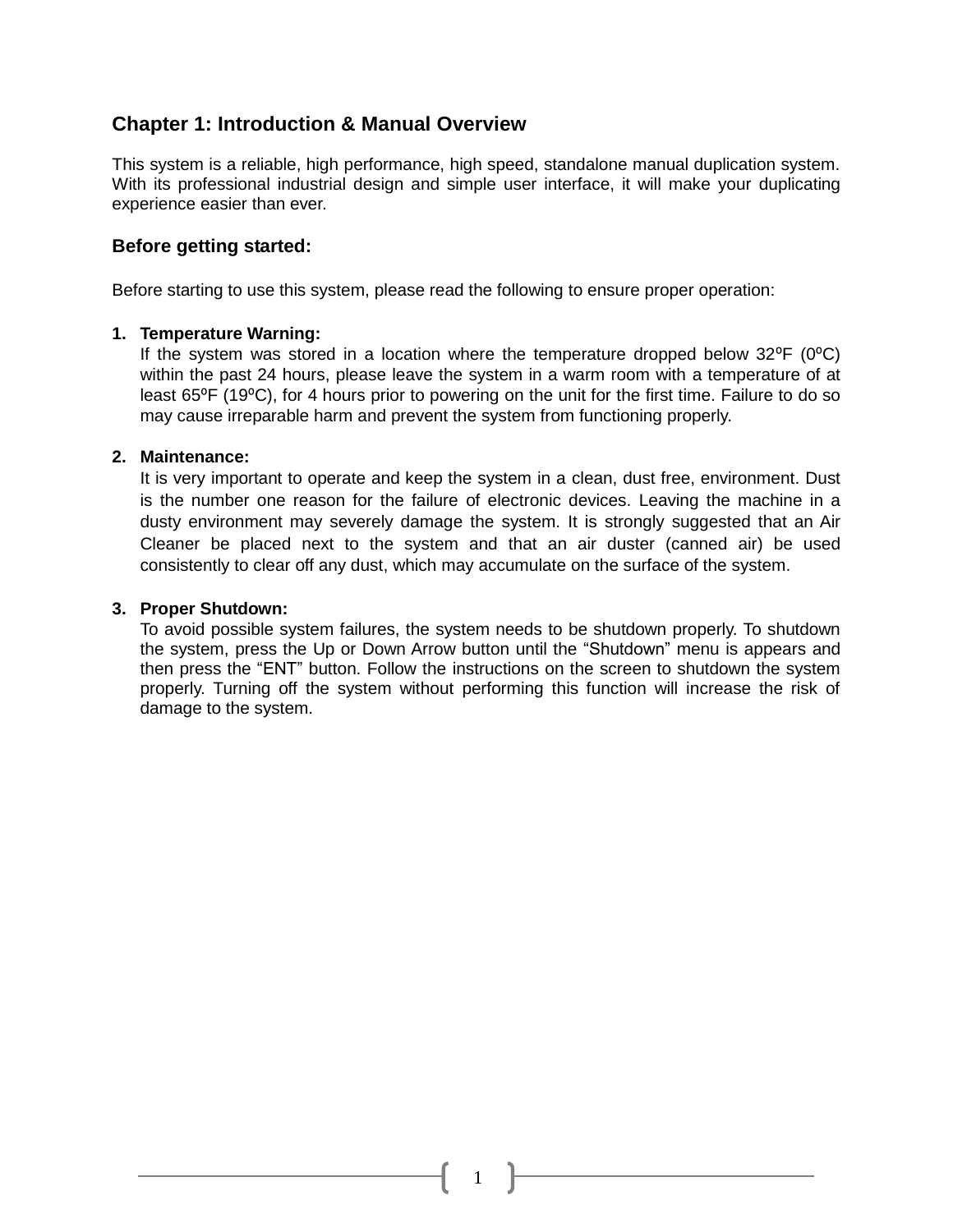#### **Chapter 1: Introduction & Manual Overview**

This system is a reliable, high performance, high speed, standalone manual duplication system. With its professional industrial design and simple user interface, it will make your duplicating experience easier than ever.

#### **Before getting started:**

Before starting to use this system, please read the following to ensure proper operation:

#### **1. Temperature Warning:**

If the system was stored in a location where the temperature dropped below  $32^{\circ}F$  ( $0^{\circ}C$ ) within the past 24 hours, please leave the system in a warm room with a temperature of at least 65°F (19°C), for 4 hours prior to powering on the unit for the first time. Failure to do so may cause irreparable harm and prevent the system from functioning properly.

#### **2. Maintenance:**

It is very important to operate and keep the system in a clean, dust free, environment. Dust is the number one reason for the failure of electronic devices. Leaving the machine in a dusty environment may severely damage the system. It is strongly suggested that an Air Cleaner be placed next to the system and that an air duster (canned air) be used consistently to clear off any dust, which may accumulate on the surface of the system.

#### **3. Proper Shutdown:**

To avoid possible system failures, the system needs to be shutdown properly. To shutdown the system, press the Up or Down Arrow button until the "Shutdown" menu is appears and then press the "ENT" button. Follow the instructions on the screen to shutdown the system properly. Turning off the system without performing this function will increase the risk of damage to the system.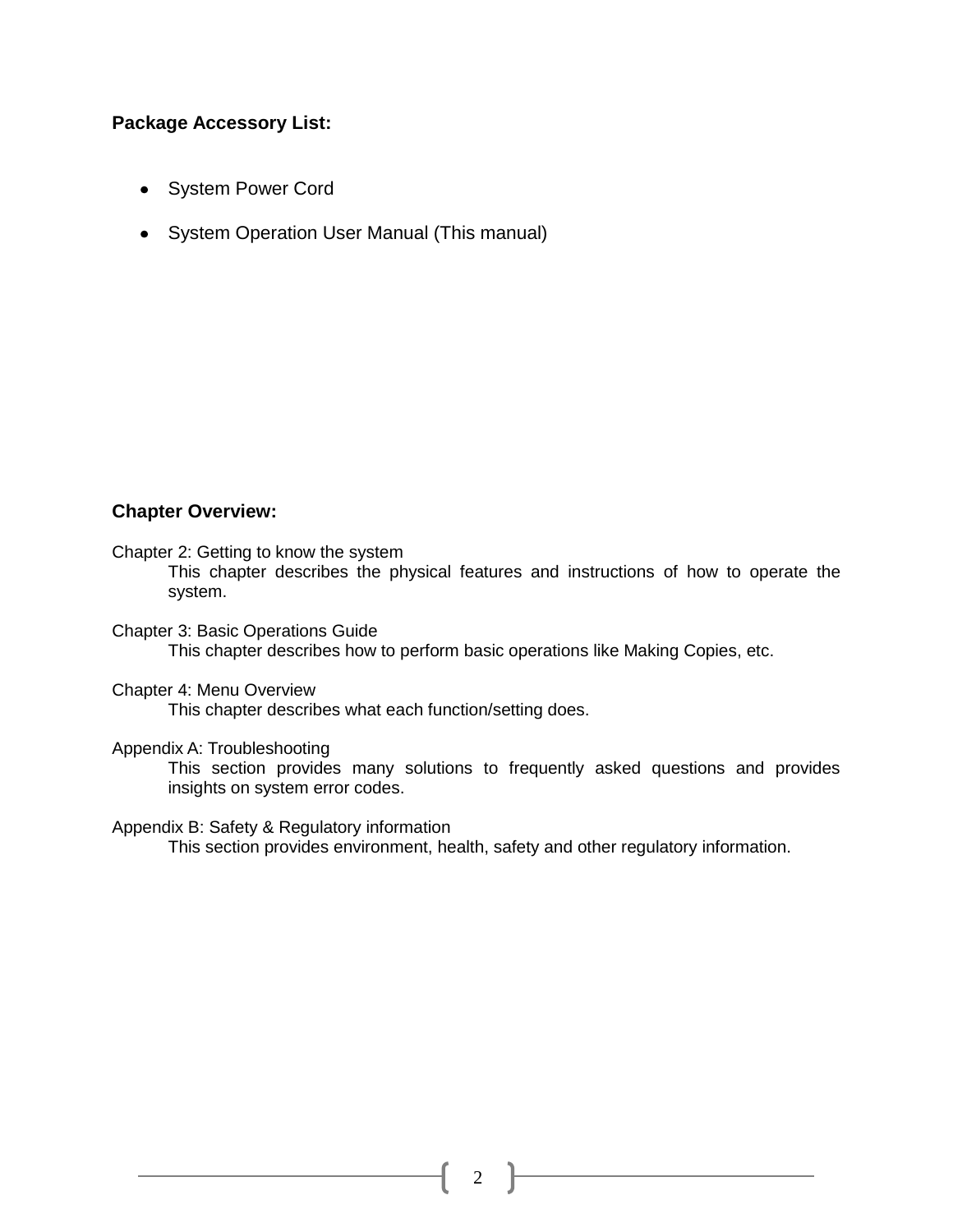#### **Package Accessory List:**

- System Power Cord
- System Operation User Manual (This manual)

#### **Chapter Overview:**

Chapter 2: Getting to know the system

This chapter describes the physical features and instructions of how to operate the system.

Chapter 3: Basic Operations Guide This chapter describes how to perform basic operations like Making Copies, etc.

Chapter 4: Menu Overview

This chapter describes what each function/setting does.

#### Appendix A: Troubleshooting

This section provides many solutions to frequently asked questions and provides insights on system error codes.

Appendix B: Safety & Regulatory information

This section provides environment, health, safety and other regulatory information.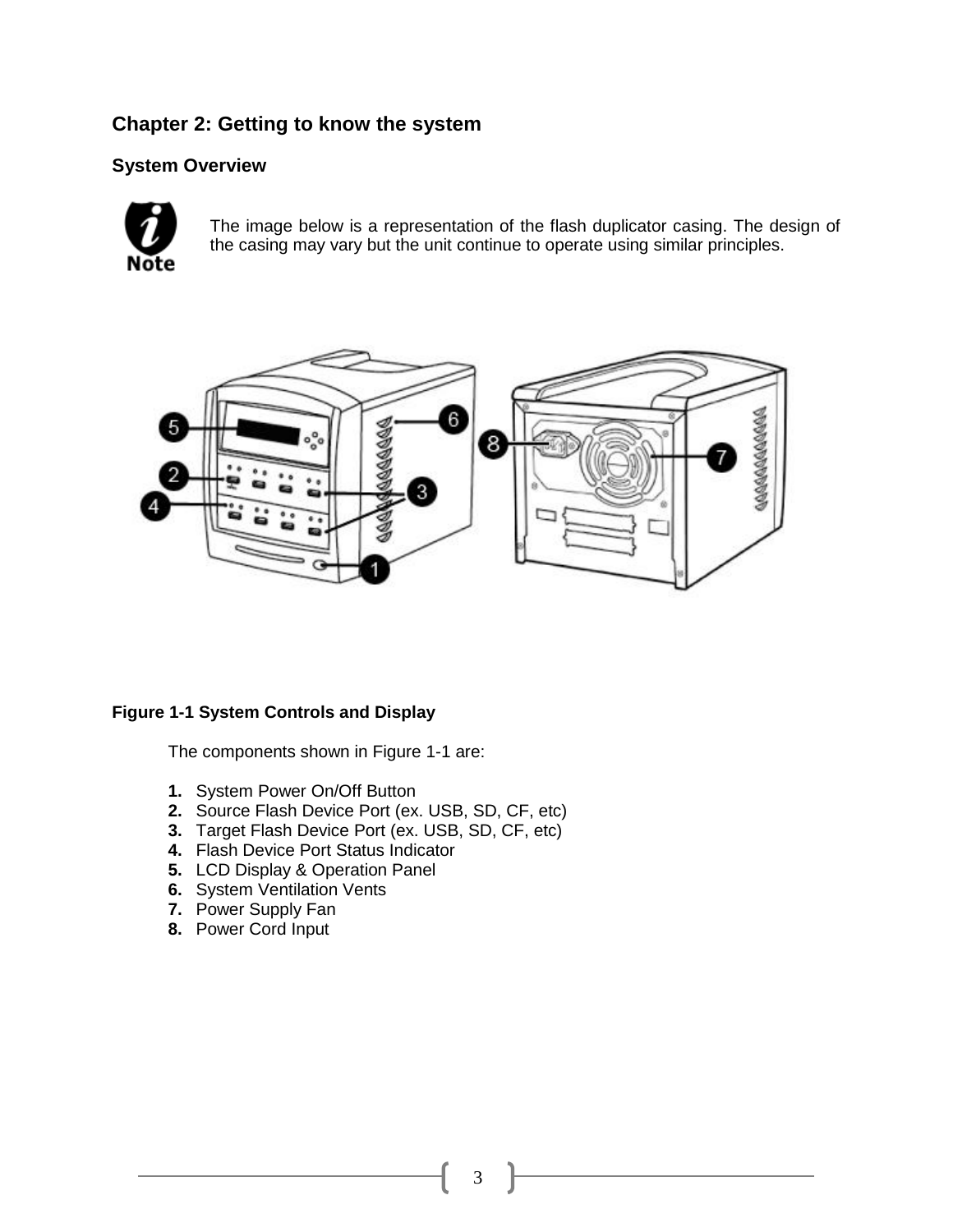#### **Chapter 2: Getting to know the system**

#### **System Overview**



The image below is a representation of the flash duplicator casing. The design of the casing may vary but the unit continue to operate using similar principles.



#### **Figure 1-1 System Controls and Display**

The components shown in Figure 1-1 are:

- **1.** System Power On/Off Button
- **2.** Source Flash Device Port (ex. USB, SD, CF, etc)
- **3.** Target Flash Device Port (ex. USB, SD, CF, etc)
- **4.** Flash Device Port Status Indicator
- **5.** LCD Display & Operation Panel
- **6.** System Ventilation Vents
- **7.** Power Supply Fan
- **8.** Power Cord Input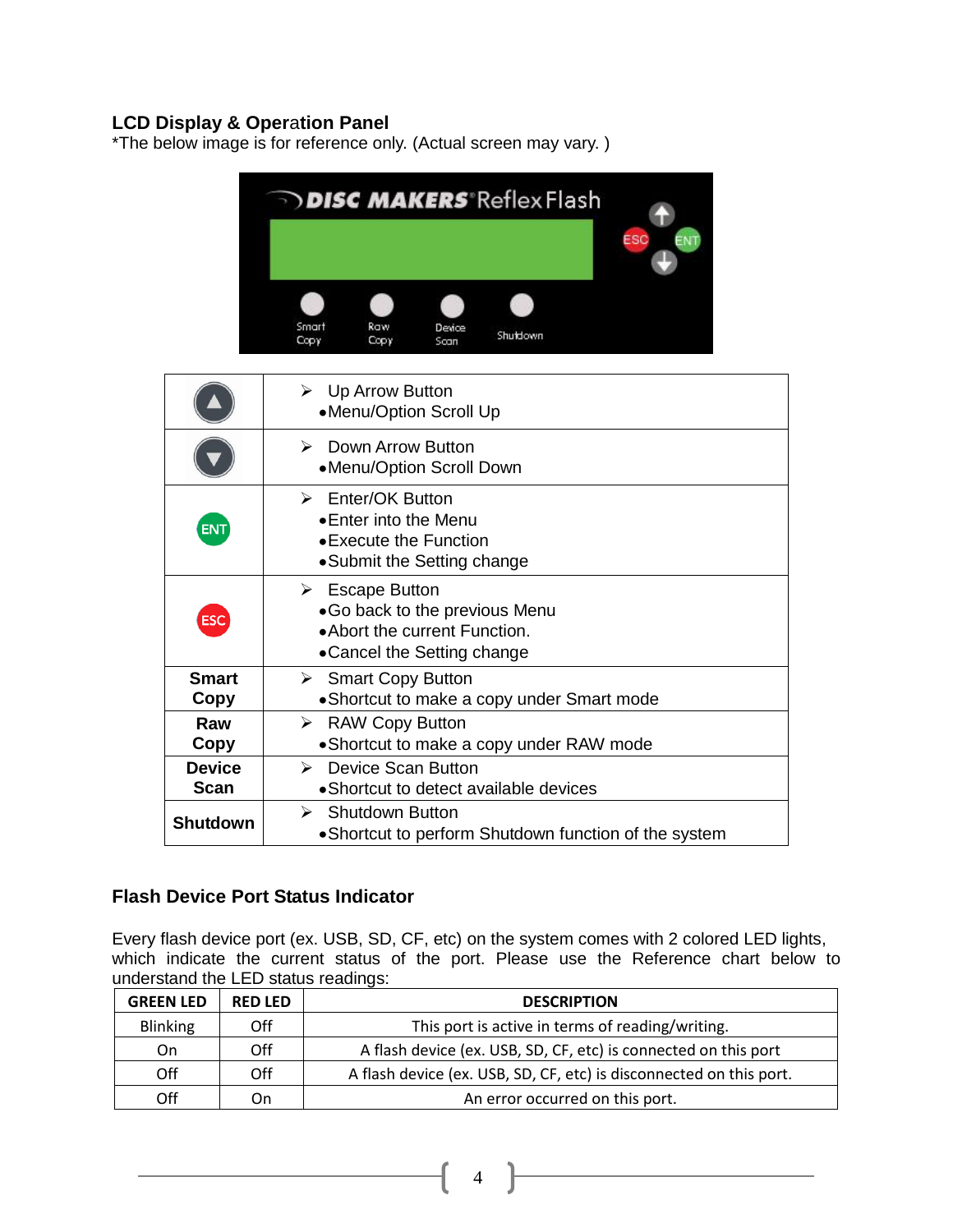#### **LCD Display & Oper**a**tion Panel**

\*The below image is for reference only. (Actual screen may vary. )



|                              | $\triangleright$ Up Arrow Button<br>•Menu/Option Scroll Up                                                                    |
|------------------------------|-------------------------------------------------------------------------------------------------------------------------------|
|                              | Down Arrow Button<br>$\triangleright$<br>•Menu/Option Scroll Down                                                             |
| <b>ENT</b>                   | $\triangleright$ Enter/OK Button<br>• Enter into the Menu<br>• Execute the Function<br>•Submit the Setting change             |
| <b>ESC</b>                   | $\triangleright$ Escape Button<br>•Go back to the previous Menu<br>•Abort the current Function.<br>•Cancel the Setting change |
| <b>Smart</b><br>Copy         | $\triangleright$ Smart Copy Button<br>• Shortcut to make a copy under Smart mode                                              |
| Raw<br>Copy                  | $\triangleright$ RAW Copy Button<br>• Shortcut to make a copy under RAW mode                                                  |
| <b>Device</b><br><b>Scan</b> | <b>Device Scan Button</b><br>$\triangleright$<br>• Shortcut to detect available devices                                       |
| <b>Shutdown</b>              | $\triangleright$ Shutdown Button<br>• Shortcut to perform Shutdown function of the system                                     |

#### **Flash Device Port Status Indicator**

Every flash device port (ex. USB, SD, CF, etc) on the system comes with 2 colored LED lights, which indicate the current status of the port. Please use the Reference chart below to understand the LED status readings:

| <b>GREEN LED</b> | <b>RED LED</b> | <b>DESCRIPTION</b>                                                  |
|------------------|----------------|---------------------------------------------------------------------|
| <b>Blinking</b>  | Off            | This port is active in terms of reading/writing.                    |
| On.              | Off            | A flash device (ex. USB, SD, CF, etc) is connected on this port     |
| Off              | Off            | A flash device (ex. USB, SD, CF, etc) is disconnected on this port. |
| Off              | On             | An error occurred on this port.                                     |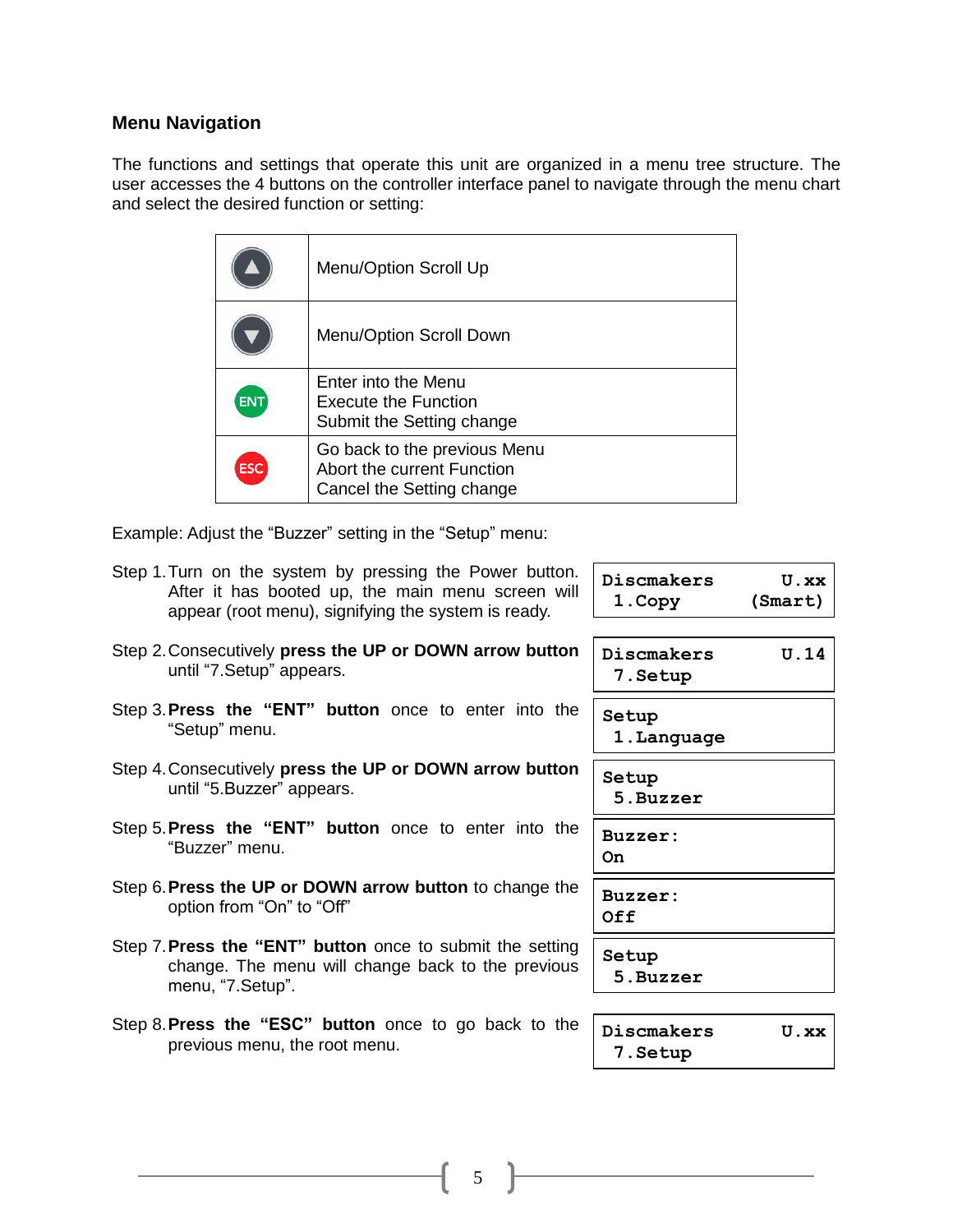#### **Menu Navigation**

The functions and settings that operate this unit are organized in a menu tree structure. The user accesses the 4 buttons on the controller interface panel to navigate through the menu chart and select the desired function or setting:

|            | Menu/Option Scroll Up                                                                   |
|------------|-----------------------------------------------------------------------------------------|
|            | Menu/Option Scroll Down                                                                 |
| <b>ENT</b> | Enter into the Menu<br>Execute the Function<br>Submit the Setting change                |
| <b>ESC</b> | Go back to the previous Menu<br>Abort the current Function<br>Cancel the Setting change |

Example: Adjust the "Buzzer" setting in the "Setup" menu:

| Discmakers<br>1.Copy   | $U$ . $XX$<br>(Smart) |
|------------------------|-----------------------|
| Discmakers<br>7. Setup | U.14                  |
| Setup<br>1. Language   |                       |
| Setup<br>5. Buzzer     |                       |
| Buzzer:<br>On          |                       |
| Buzzer:<br>0ff         |                       |
| Setup<br>5.Buzzer      |                       |
| Discmakers<br>7.Setup  | U.XX                  |
|                        |                       |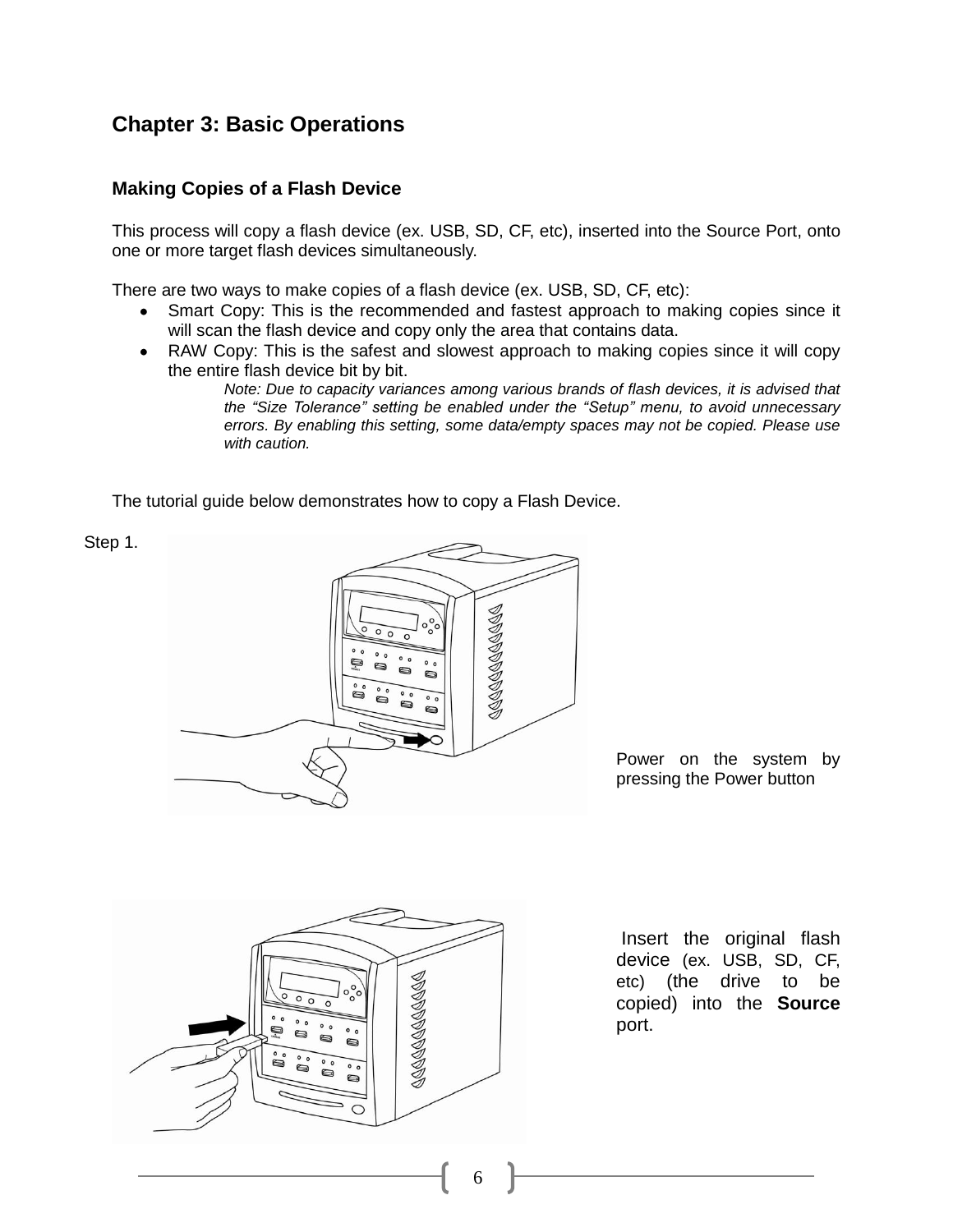#### **Chapter 3: Basic Operations**

#### **Making Copies of a Flash Device**

Step 1.

This process will copy a flash device (ex. USB, SD, CF, etc), inserted into the Source Port, onto one or more target flash devices simultaneously.

There are two ways to make copies of a flash device (ex. USB, SD, CF, etc):

- Smart Copy: This is the recommended and fastest approach to making copies since it will scan the flash device and copy only the area that contains data.
- RAW Copy: This is the safest and slowest approach to making copies since it will copy the entire flash device bit by bit.

*Note: Due to capacity variances among various brands of flash devices, it is advised that the "Size Tolerance" setting be enabled under the "Setup" menu, to avoid unnecessary errors. By enabling this setting, some data/empty spaces may not be copied. Please use with caution.*

The tutorial guide below demonstrates how to copy a Flash Device.



Power on the system by pressing the Power button



Insert the original flash device (ex. USB, SD, CF, etc) (the drive to be copied) into the **Source** port.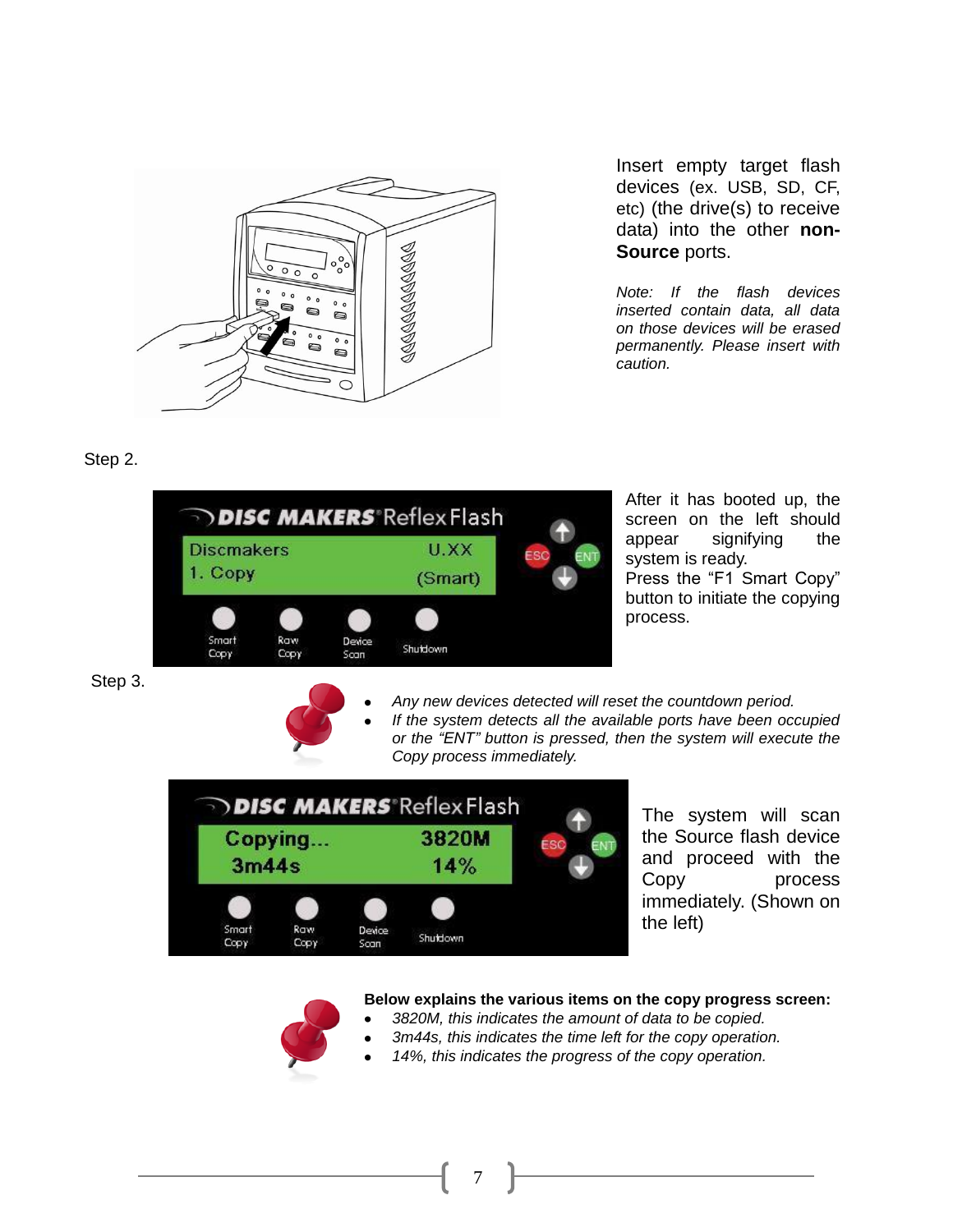

Insert empty target flash devices (ex. USB, SD, CF, etc) (the drive(s) to receive data) into the other **non-Source** ports.

*Note: If the flash devices inserted contain data, all data on those devices will be erased permanently. Please insert with caution.*

Step 2.



After it has booted up, the screen on the left should appear signifying the system is ready. Press the "F1 Smart Copy" button to initiate the copying process.

Step 3.



*Any new devices detected will reset the countdown period. If the system detects all the available ports have been occupied or the "ENT" button is pressed, then the system will execute the Copy process immediately.*



The system will scan the Source flash device and proceed with the Copy process immediately. (Shown on the left)



#### **Below explains the various items on the copy progress screen:**

- *3820M, this indicates the amount of data to be copied.*
- *3m44s, this indicates the time left for the copy operation.*
- *14%, this indicates the progress of the copy operation.*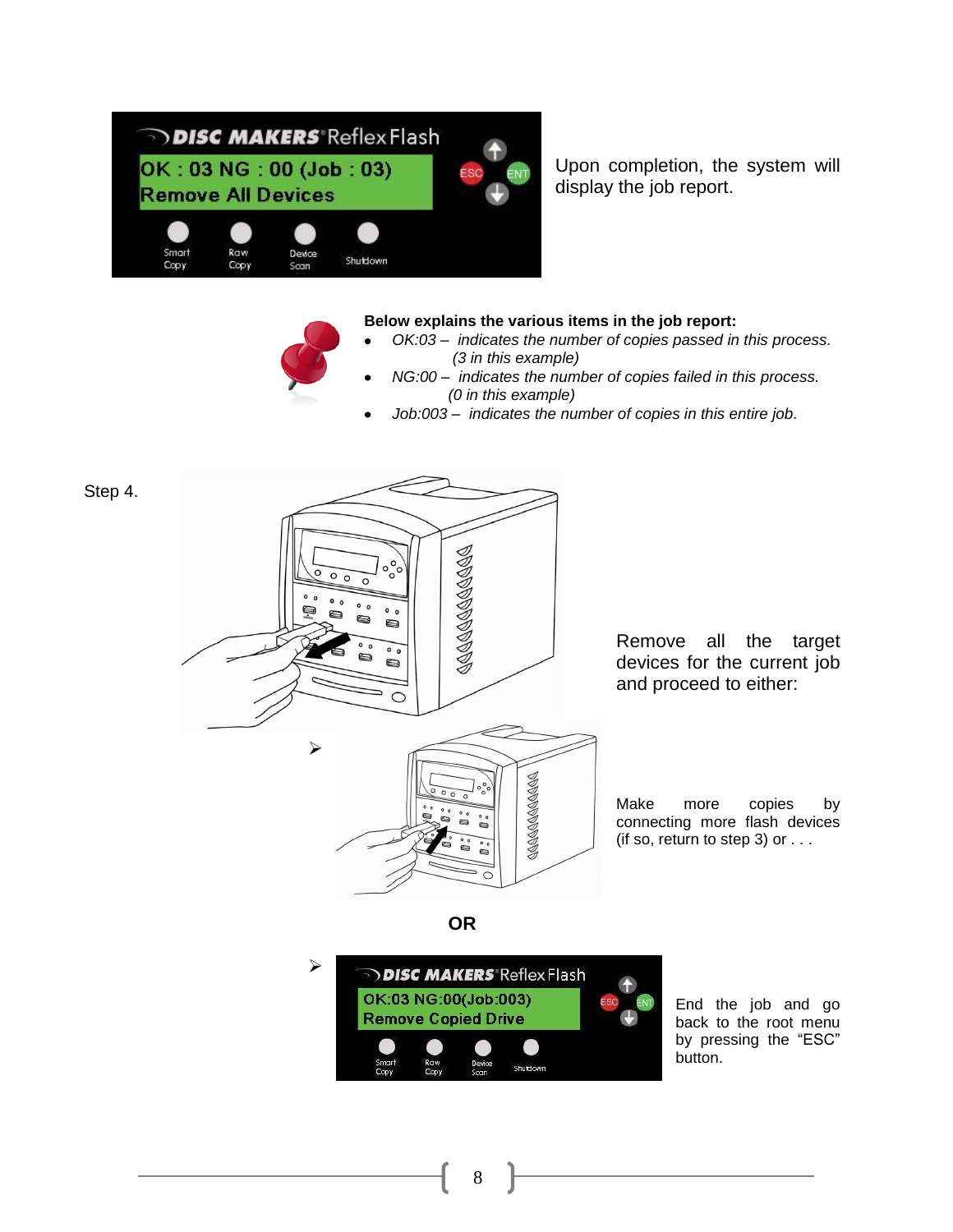

Step 4.

Upon completion, the system will display the job report.

#### **Below explains the various items in the job report:**

- *OK:03 – indicates the number of copies passed in this process. (3 in this example)*
- *NG:00 – indicates the number of copies failed in this process. (0 in this example)*
- *Job:003 – indicates the number of copies in this entire job.*



Remove all the target devices for the current job and proceed to either:

Make more copies by connecting more flash devices (if so, return to step 3) or  $\dots$ 

**OR**



8

End the job and go back to the root menu by pressing the "ESC" button.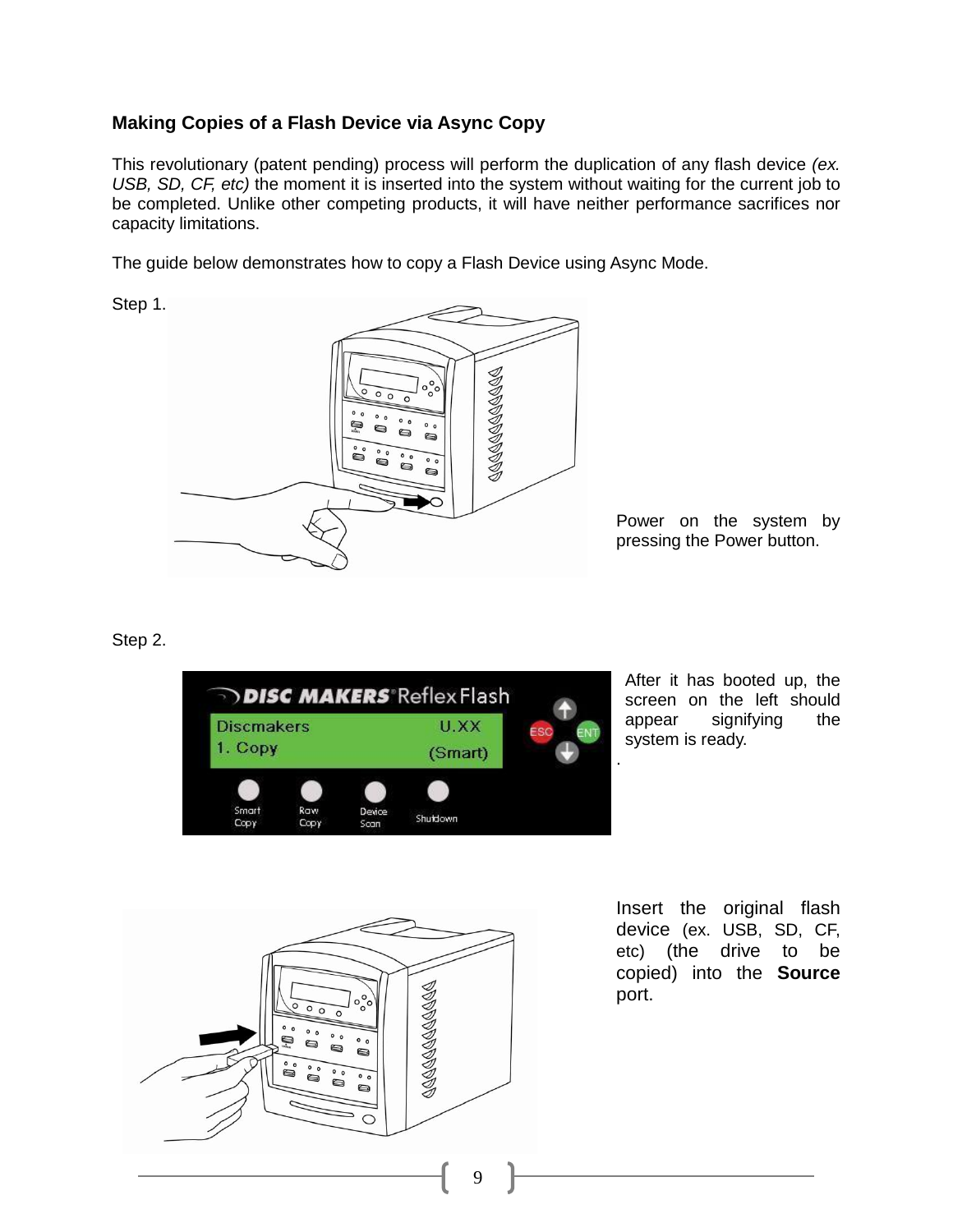#### **Making Copies of a Flash Device via Async Copy**

This revolutionary (patent pending) process will perform the duplication of any flash device *(ex. USB, SD, CF, etc)* the moment it is inserted into the system without waiting for the current job to be completed. Unlike other competing products, it will have neither performance sacrifices nor capacity limitations.

The guide below demonstrates how to copy a Flash Device using Async Mode.





Power on the system by pressing the Power button.

#### Step 2.



After it has booted up, the screen on the left should appear signifying the system is ready.



Insert the original flash device (ex. USB, SD, CF, etc) (the drive to be copied) into the **Source** port.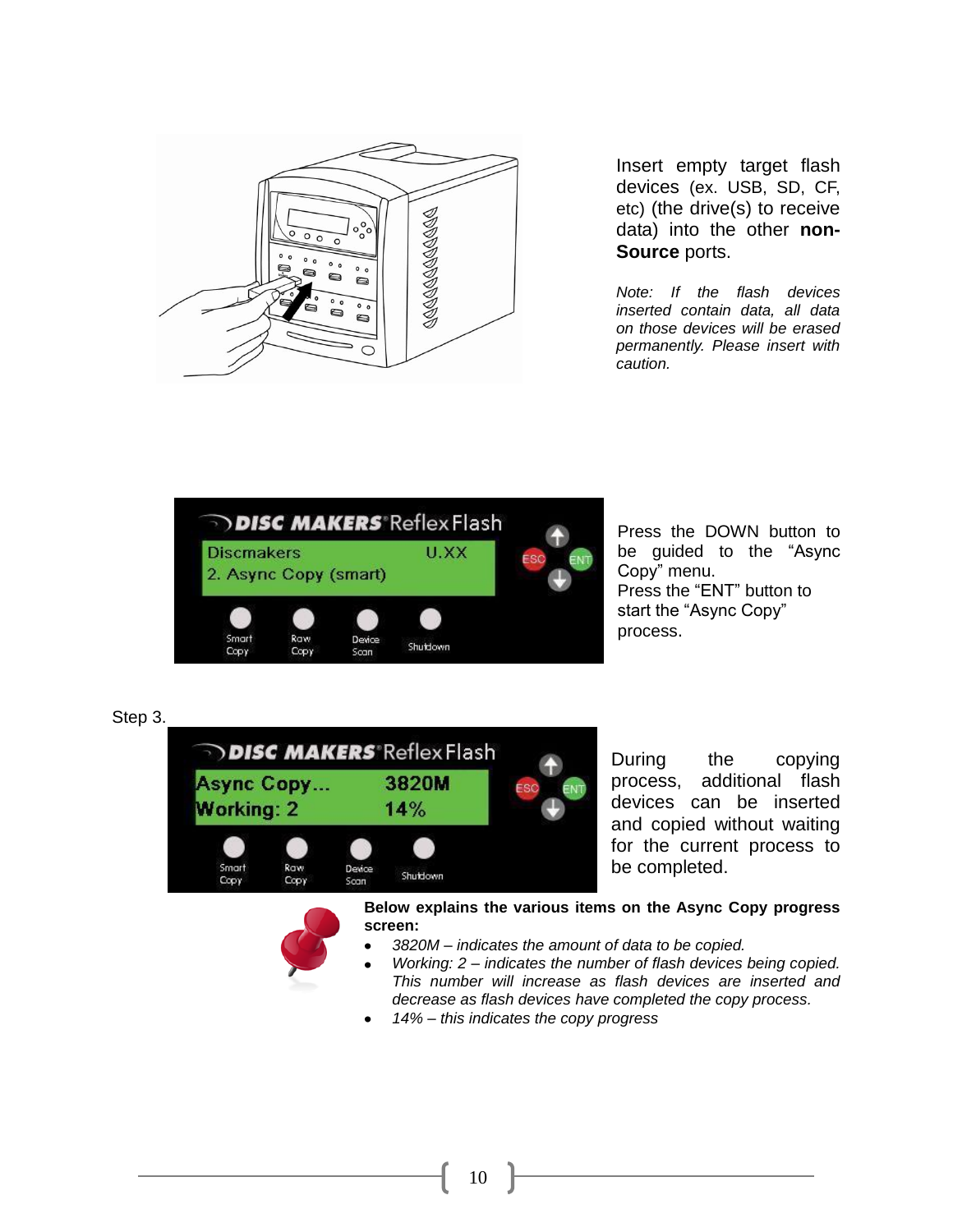

Insert empty target flash devices (ex. USB, SD, CF, etc) (the drive(s) to receive data) into the other **non-Source** ports.

*Note: If the flash devices inserted contain data, all data on those devices will be erased permanently. Please insert with caution.*



Press the DOWN button to be guided to the "Async Copy" menu. Press the "ENT" button to start the "Async Copy" process.





During the copying process, additional flash devices can be inserted and copied without waiting for the current process to be completed.

**Below explains the various items on the Async Copy progress screen:**

- *3820M – indicates the amount of data to be copied.*
- *Working: 2 – indicates the number of flash devices being copied. This number will increase as flash devices are inserted and decrease as flash devices have completed the copy process.*
- *14% – this indicates the copy progress*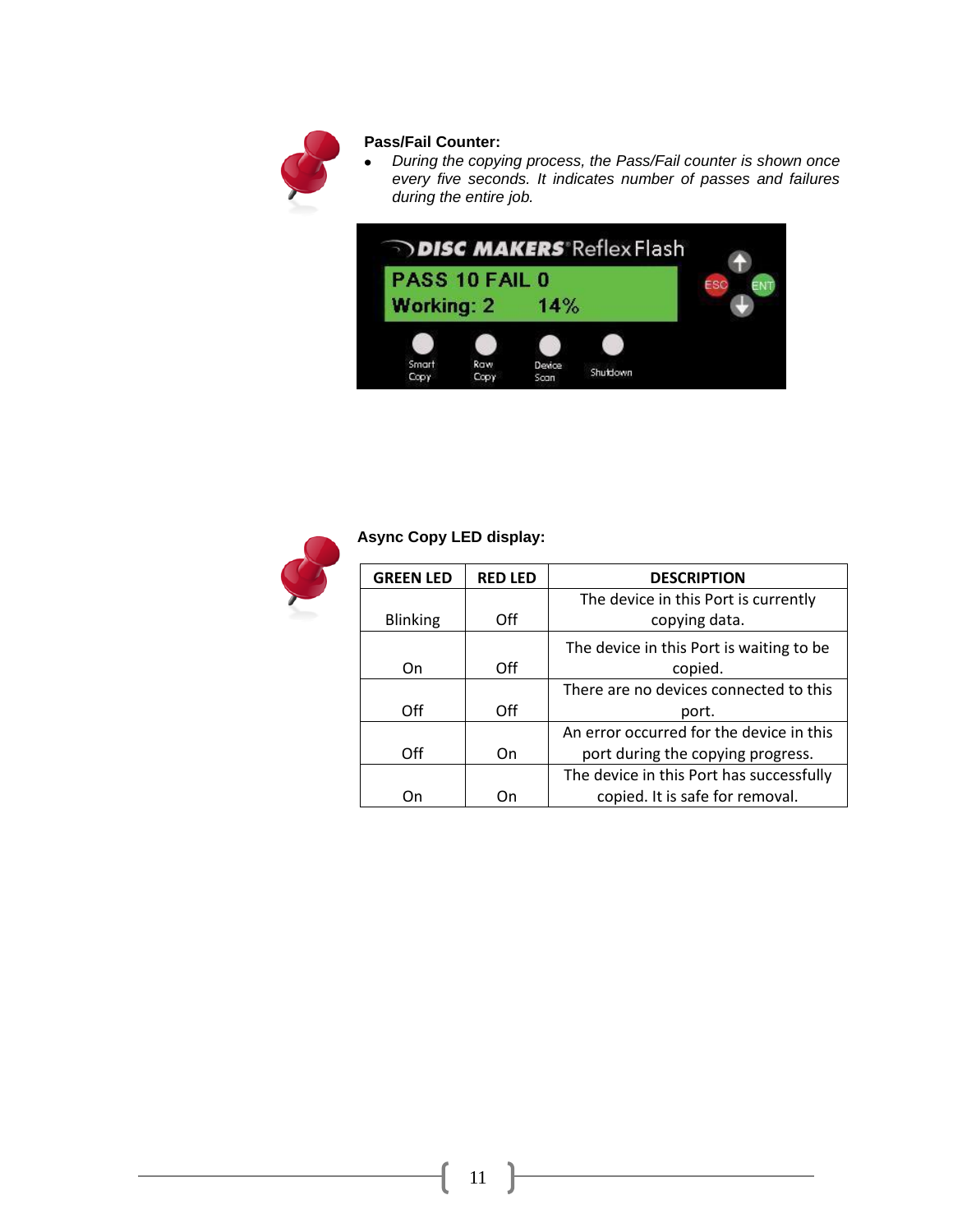

#### **Pass/Fail Counter:**

*During the copying process, the Pass/Fail counter is shown once every five seconds. It indicates number of passes and failures during the entire job.* 





#### **Async Copy LED display:**

| <b>GREEN LED</b> | <b>RED LED</b> | <b>DESCRIPTION</b>                       |
|------------------|----------------|------------------------------------------|
|                  |                | The device in this Port is currently     |
| <b>Blinking</b>  | Off            | copying data.                            |
|                  |                | The device in this Port is waiting to be |
| On               | Off            | copied.                                  |
|                  |                | There are no devices connected to this   |
| Off              | Off            | port.                                    |
|                  |                | An error occurred for the device in this |
| Off              | On             | port during the copying progress.        |
|                  |                | The device in this Port has successfully |
|                  |                | copied. It is safe for removal.          |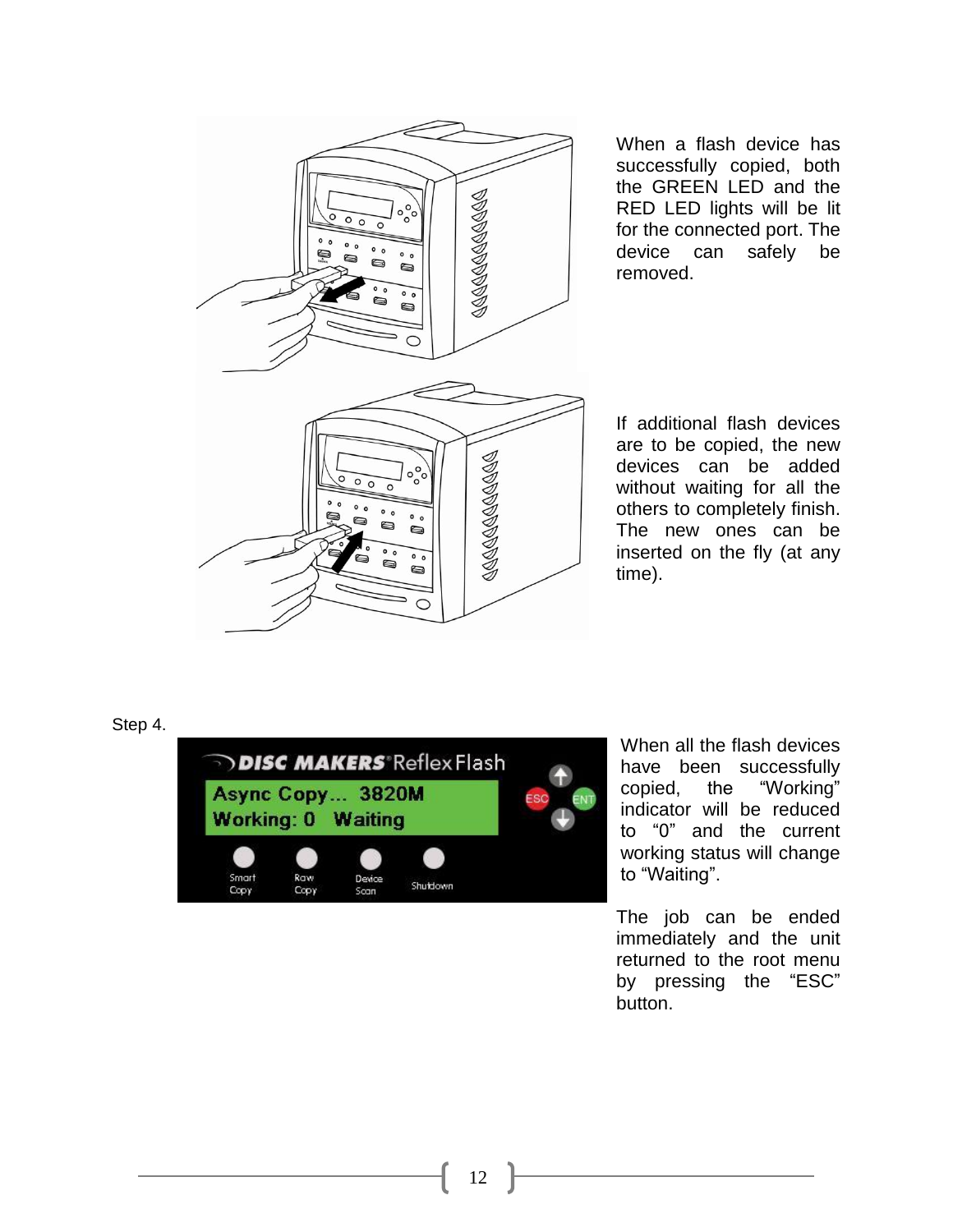

When a flash device has successfully copied, both the GREEN LED and the RED LED lights will be lit for the connected port. The device can safely be removed.

If additional flash devices are to be copied, the new devices can be added without waiting for all the others to completely finish . The new ones can be inserted on the fly (at any time) .

Step 4.



When all the flash devices have been successfully copied, the "Working " indicator will be reduced to "0" and the current working status will chang e to "Waiting".

The job can be ended immediately and the unit returned to the root menu by pressing the "ESC" button.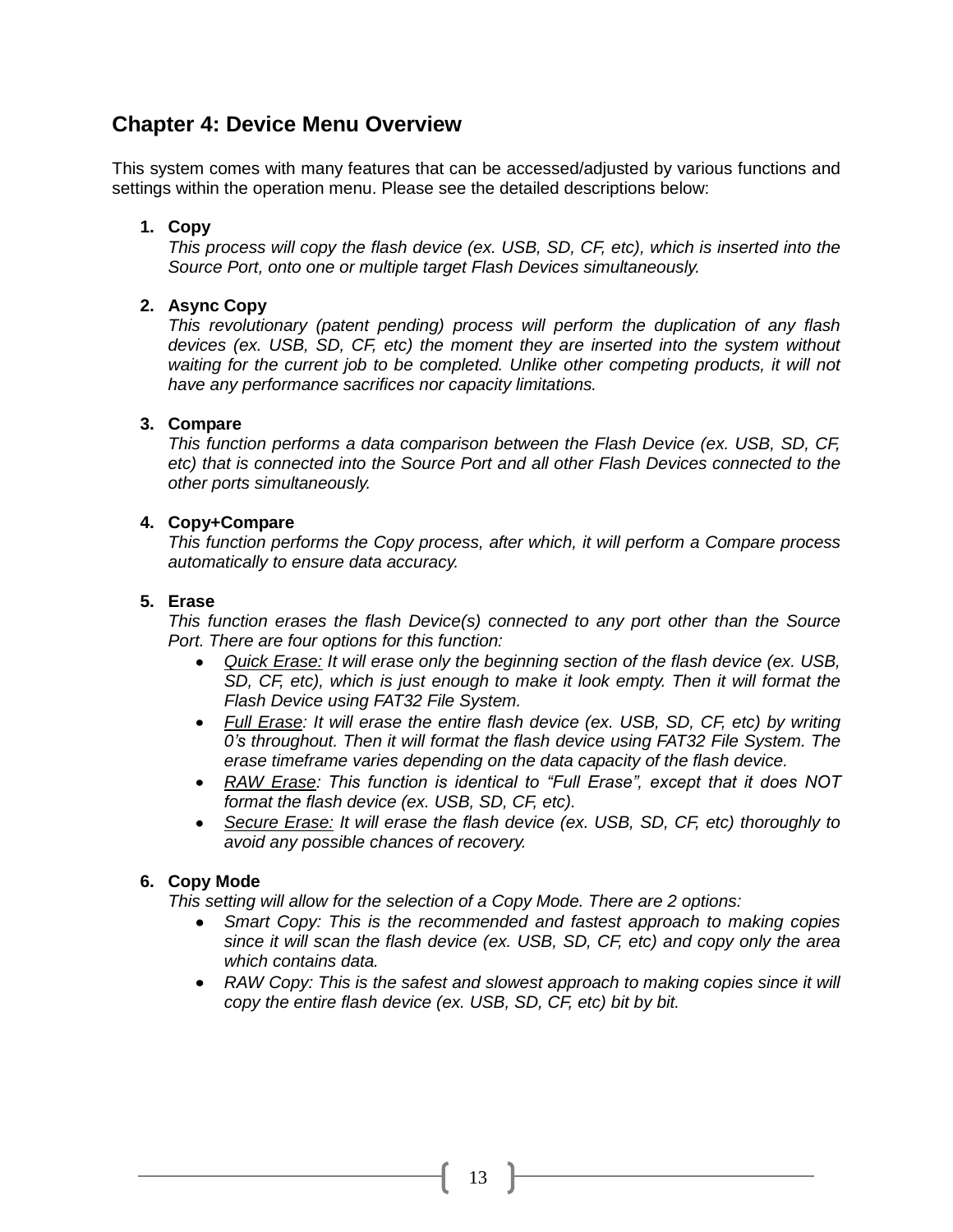#### **Chapter 4: Device Menu Overview**

This system comes with many features that can be accessed/adjusted by various functions and settings within the operation menu. Please see the detailed descriptions below:

#### **1. Copy**

*This process will copy the flash device (ex. USB, SD, CF, etc), which is inserted into the Source Port, onto one or multiple target Flash Devices simultaneously.*

#### **2. Async Copy**

*This revolutionary (patent pending) process will perform the duplication of any flash devices (ex. USB, SD, CF, etc) the moment they are inserted into the system without waiting for the current job to be completed. Unlike other competing products, it will not have any performance sacrifices nor capacity limitations.* 

#### **3. Compare**

*This function performs a data comparison between the Flash Device (ex. USB, SD, CF, etc) that is connected into the Source Port and all other Flash Devices connected to the other ports simultaneously.*

#### **4. Copy+Compare**

*This function performs the Copy process, after which, it will perform a Compare process automatically to ensure data accuracy.*

#### **5. Erase**

*This function erases the flash Device(s) connected to any port other than the Source Port. There are four options for this function:*

- *Quick Erase: It will erase only the beginning section of the flash device (ex. USB,*   $\bullet$ *SD, CF, etc), which is just enough to make it look empty. Then it will format the Flash Device using FAT32 File System.*
- *Full Erase: It will erase the entire flash device (ex. USB, SD, CF, etc) by writing 0's throughout. Then it will format the flash device using FAT32 File System. The erase timeframe varies depending on the data capacity of the flash device.*
- *RAW Erase: This function is identical to "Full Erase", except that it does NOT format the flash device (ex. USB, SD, CF, etc).*
- *Secure Erase: It will erase the flash device (ex. USB, SD, CF, etc) thoroughly to avoid any possible chances of recovery.*

#### **6. Copy Mode**

*This setting will allow for the selection of a Copy Mode. There are 2 options:*

- *Smart Copy: This is the recommended and fastest approach to making copies*   $\bullet$ *since it will scan the flash device (ex. USB, SD, CF, etc) and copy only the area which contains data.*
- RAW Copy: This is the safest and slowest approach to making copies since it will *copy the entire flash device (ex. USB, SD, CF, etc) bit by bit.*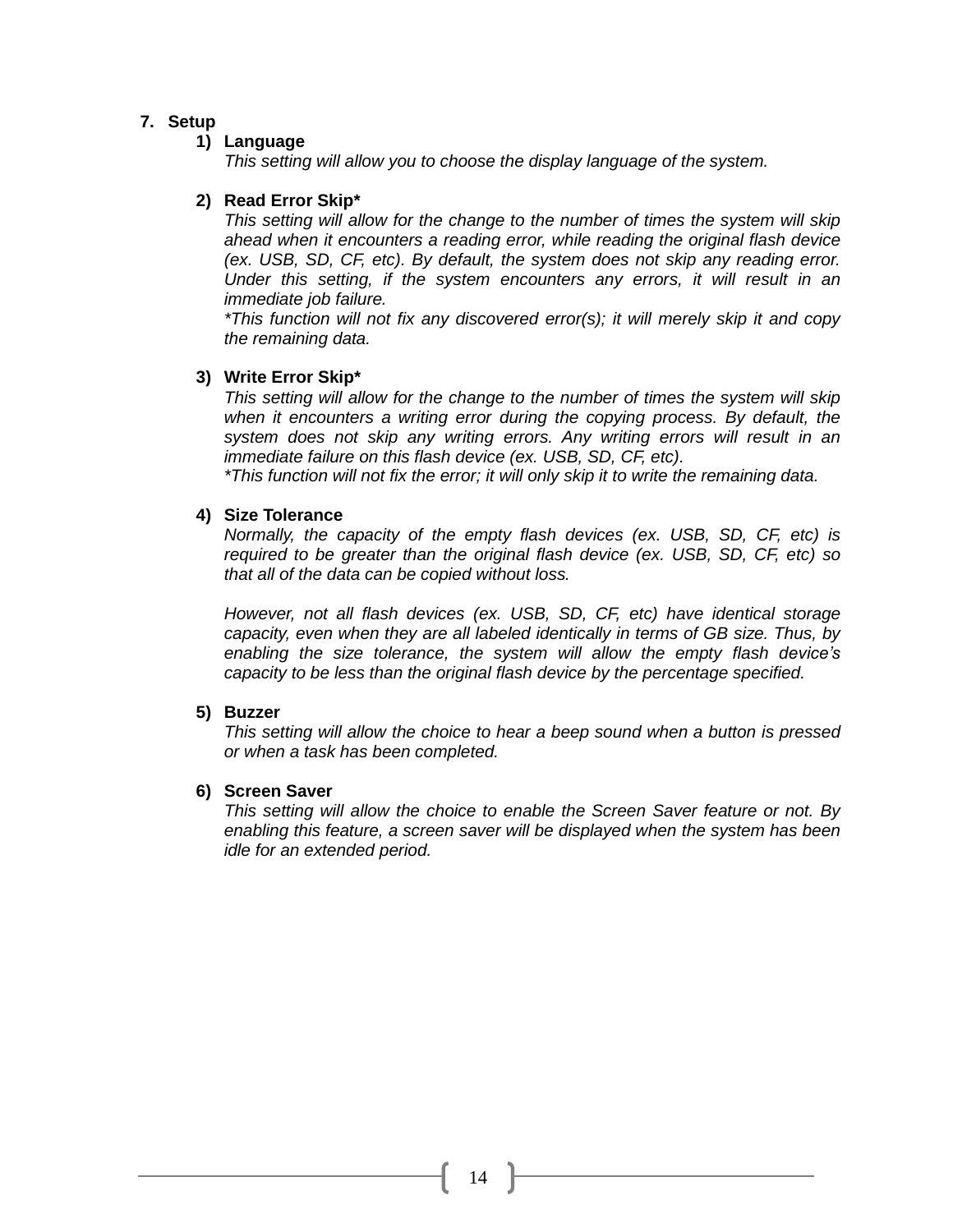#### **7. Setup**

#### **1) Language**

*This setting will allow you to choose the display language of the system.*

#### **2) Read Error Skip\***

*This setting will allow for the change to the number of times the system will skip ahead when it encounters a reading error, while reading the original flash device (ex. USB, SD, CF, etc). By default, the system does not skip any reading error. Under this setting, if the system encounters any errors, it will result in an immediate job failure.*

*\*This function will not fix any discovered error(s); it will merely skip it and copy the remaining data.*

#### **3) Write Error Skip\***

*This setting will allow for the change to the number of times the system will skip when it encounters a writing error during the copying process. By default, the system does not skip any writing errors. Any writing errors will result in an immediate failure on this flash device (ex. USB, SD, CF, etc).*

*\*This function will not fix the error; it will only skip it to write the remaining data.*

#### **4) Size Tolerance**

*Normally, the capacity of the empty flash devices (ex. USB, SD, CF, etc) is required to be greater than the original flash device (ex. USB, SD, CF, etc) so that all of the data can be copied without loss.* 

*However, not all flash devices (ex. USB, SD, CF, etc) have identical storage capacity, even when they are all labeled identically in terms of GB size. Thus, by enabling the size tolerance, the system will allow the empty flash device's capacity to be less than the original flash device by the percentage specified.* 

#### **5) Buzzer**

*This setting will allow the choice to hear a beep sound when a button is pressed or when a task has been completed.*

#### **6) Screen Saver**

*This setting will allow the choice to enable the Screen Saver feature or not. By enabling this feature, a screen saver will be displayed when the system has been idle for an extended period.*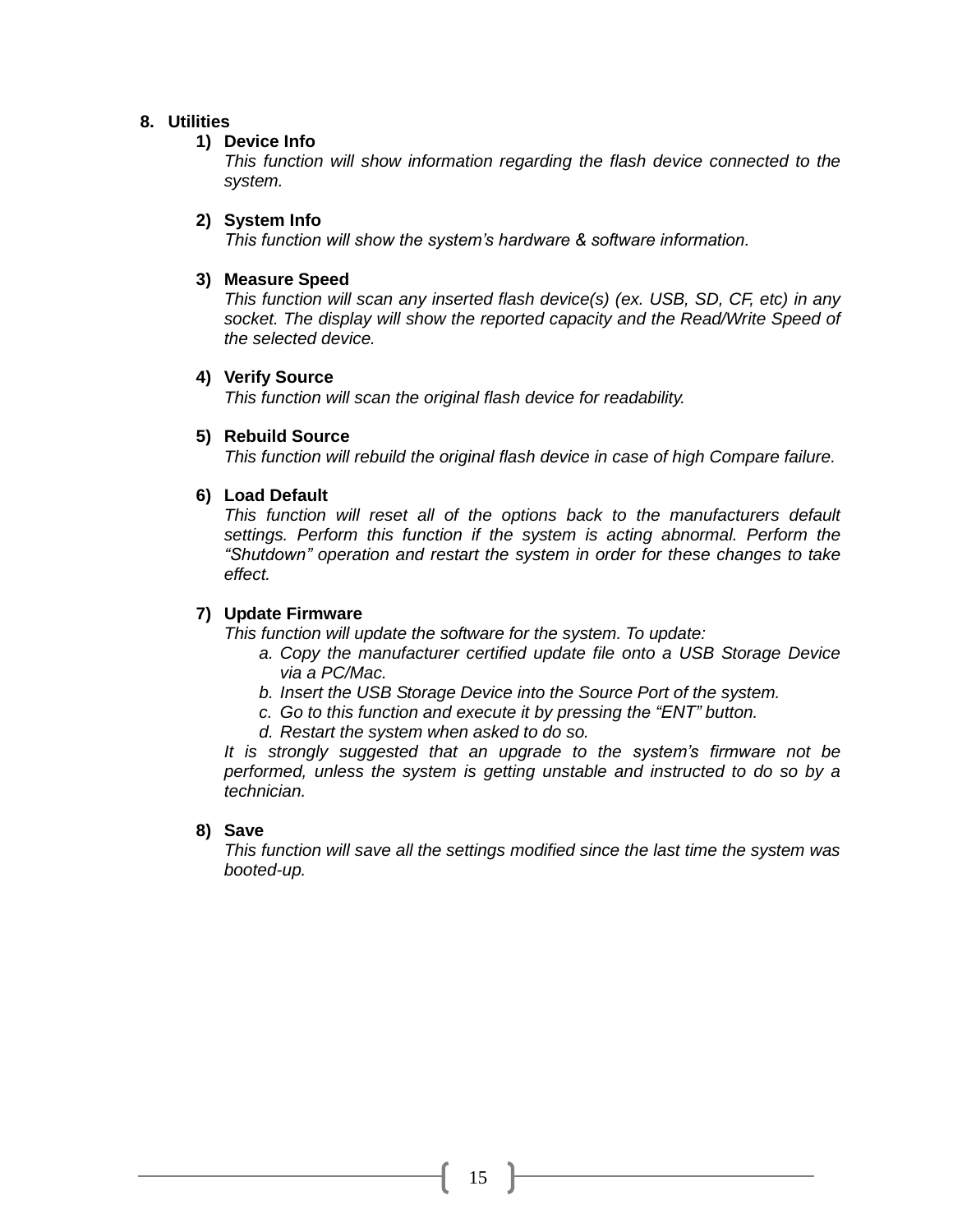#### **8. Utilities**

#### **1) Device Info**

*This function will show information regarding the flash device connected to the system.*

#### **2) System Info**

*This function will show the system's hardware & software information.*

#### **3) Measure Speed**

*This function will scan any inserted flash device(s) (ex. USB, SD, CF, etc) in any socket. The display will show the reported capacity and the Read/Write Speed of the selected device.*

#### **4) Verify Source**

*This function will scan the original flash device for readability.*

#### **5) Rebuild Source**

*This function will rebuild the original flash device in case of high Compare failure.*

#### **6) Load Default**

*This function will reset all of the options back to the manufacturers default settings. Perform this function if the system is acting abnormal. Perform the "Shutdown" operation and restart the system in order for these changes to take effect.* 

#### **7) Update Firmware**

*This function will update the software for the system. To update:*

- *a. Copy the manufacturer certified update file onto a USB Storage Device via a PC/Mac.*
- *b. Insert the USB Storage Device into the Source Port of the system.*
- *c. Go to this function and execute it by pressing the "ENT" button.*
- *d. Restart the system when asked to do so.*

*It is strongly suggested that an upgrade to the system's firmware not be performed, unless the system is getting unstable and instructed to do so by a technician.*

#### **8) Save**

*This function will save all the settings modified since the last time the system was booted-up.*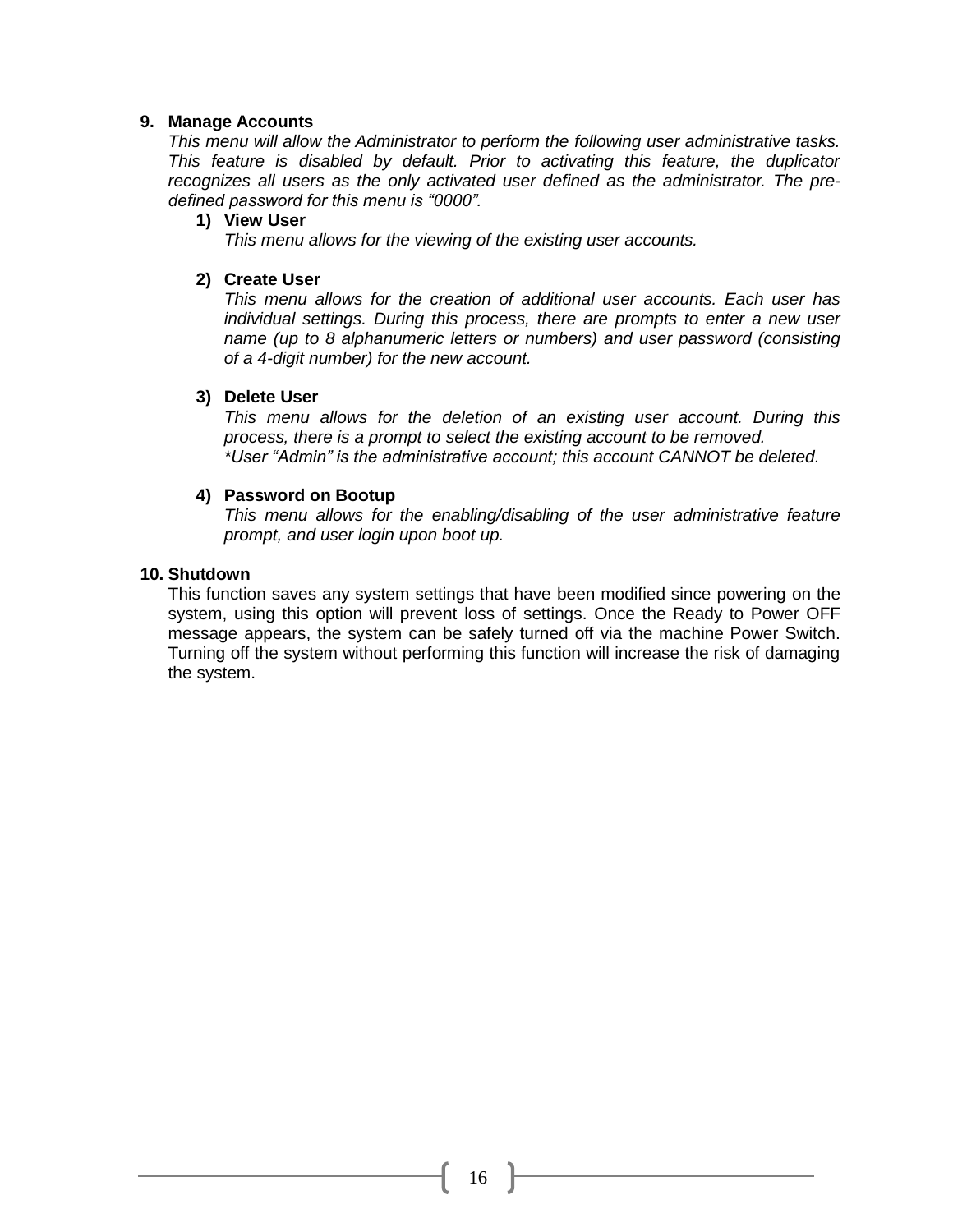#### **9. Manage Accounts**

*This menu will allow the Administrator to perform the following user administrative tasks. This feature is disabled by default. Prior to activating this feature, the duplicator recognizes all users as the only activated user defined as the administrator. The predefined password for this menu is "0000".*

#### **1) View User**

*This menu allows for the viewing of the existing user accounts.*

#### **2) Create User**

*This menu allows for the creation of additional user accounts. Each user has individual settings. During this process, there are prompts to enter a new user name (up to 8 alphanumeric letters or numbers) and user password (consisting of a 4-digit number) for the new account.*

#### **3) Delete User**

*This menu allows for the deletion of an existing user account. During this process, there is a prompt to select the existing account to be removed. \*User "Admin" is the administrative account; this account CANNOT be deleted.*

#### **4) Password on Bootup**

*This menu allows for the enabling/disabling of the user administrative feature prompt, and user login upon boot up.*

#### **10. Shutdown**

This function saves any system settings that have been modified since powering on the system, using this option will prevent loss of settings. Once the Ready to Power OFF message appears, the system can be safely turned off via the machine Power Switch. Turning off the system without performing this function will increase the risk of damaging the system.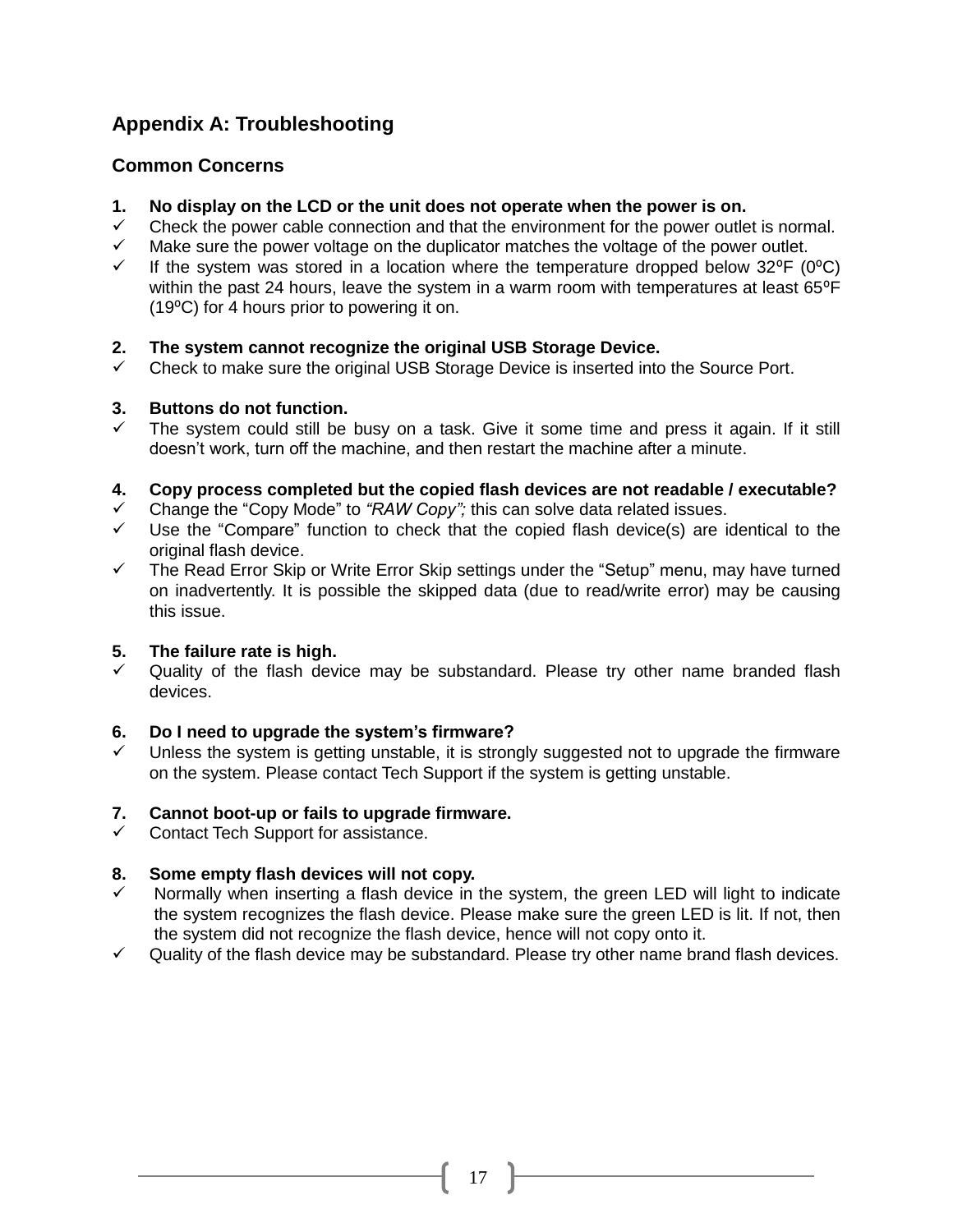#### **Appendix A: Troubleshooting**

#### **Common Concerns**

- **1. No display on the LCD or the unit does not operate when the power is on.**
- $\checkmark$  Check the power cable connection and that the environment for the power outlet is normal.
- $\checkmark$  Make sure the power voltage on the duplicator matches the voltage of the power outlet.
- If the system was stored in a location where the temperature dropped below  $32^{\circ}F$  (0 $^{\circ}C$ ) within the past 24 hours, leave the system in a warm room with temperatures at least 65°F (19⁰C) for 4 hours prior to powering it on.

#### **2. The system cannot recognize the original USB Storage Device.**

 $\checkmark$  Check to make sure the original USB Storage Device is inserted into the Source Port.

#### **3. Buttons do not function.**

 The system could still be busy on a task. Give it some time and press it again. If it still doesn't work, turn off the machine, and then restart the machine after a minute.

#### **4. Copy process completed but the copied flash devices are not readable / executable?**

- Change the "Copy Mode" to *"RAW Copy";* this can solve data related issues.
- $\checkmark$  Use the "Compare" function to check that the copied flash device(s) are identical to the original flash device.
- $\checkmark$  The Read Error Skip or Write Error Skip settings under the "Setup" menu, may have turned on inadvertently. It is possible the skipped data (due to read/write error) may be causing this issue.

#### **5. The failure rate is high.**

 $\checkmark$  Quality of the flash device may be substandard. Please try other name branded flash devices.

#### **6. Do I need to upgrade the system's firmware?**

 Unless the system is getting unstable, it is strongly suggested not to upgrade the firmware on the system. Please contact Tech Support if the system is getting unstable.

#### **7. Cannot boot-up or fails to upgrade firmware.**

 $\checkmark$  Contact Tech Support for assistance.

#### **8. Some empty flash devices will not copy.**

- Normally when inserting a flash device in the system, the green LED will light to indicate the system recognizes the flash device. Please make sure the green LED is lit. If not, then the system did not recognize the flash device, hence will not copy onto it.
- Quality of the flash device may be substandard. Please try other name brand flash devices.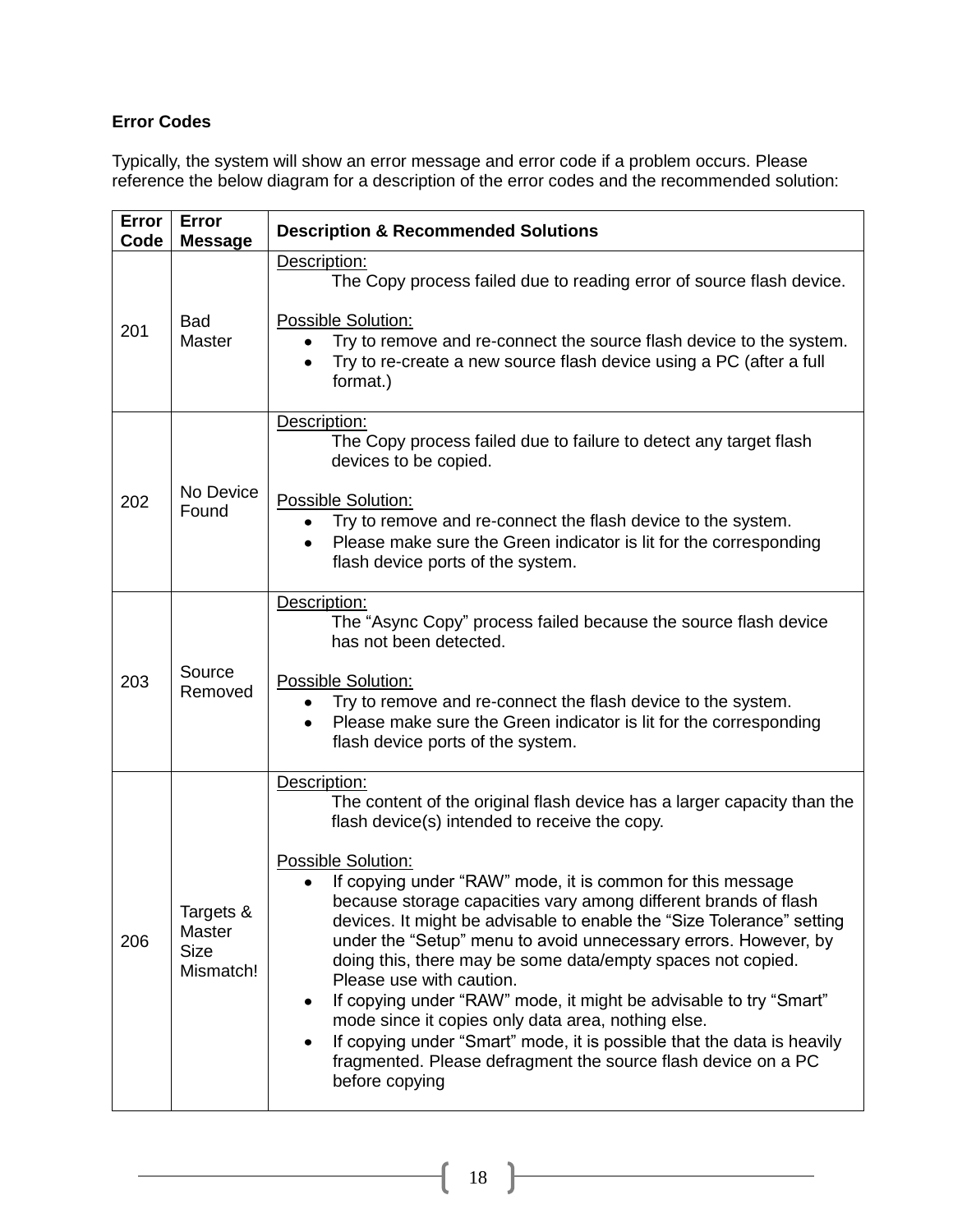#### **Error Codes**

Typically, the system will show an error message and error code if a problem occurs. Please reference the below diagram for a description of the error codes and the recommended solution:

| Error<br>Code | Error<br><b>Message</b>                         | <b>Description &amp; Recommended Solutions</b>                                                                                                                                                                                                                                                                                                                                                                                                                                                                                                                                                                                                                                                                                                                                                                                                  |
|---------------|-------------------------------------------------|-------------------------------------------------------------------------------------------------------------------------------------------------------------------------------------------------------------------------------------------------------------------------------------------------------------------------------------------------------------------------------------------------------------------------------------------------------------------------------------------------------------------------------------------------------------------------------------------------------------------------------------------------------------------------------------------------------------------------------------------------------------------------------------------------------------------------------------------------|
| 201           | <b>Bad</b><br><b>Master</b>                     | Description:<br>The Copy process failed due to reading error of source flash device.<br><b>Possible Solution:</b><br>Try to remove and re-connect the source flash device to the system.<br>$\bullet$<br>Try to re-create a new source flash device using a PC (after a full<br>$\bullet$<br>format.)                                                                                                                                                                                                                                                                                                                                                                                                                                                                                                                                           |
| 202           | No Device<br>Found                              | Description:<br>The Copy process failed due to failure to detect any target flash<br>devices to be copied.<br>Possible Solution:<br>Try to remove and re-connect the flash device to the system.<br>$\bullet$<br>Please make sure the Green indicator is lit for the corresponding<br>$\bullet$<br>flash device ports of the system.                                                                                                                                                                                                                                                                                                                                                                                                                                                                                                            |
| 203           | Source<br>Removed                               | Description:<br>The "Async Copy" process failed because the source flash device<br>has not been detected.<br><b>Possible Solution:</b><br>Try to remove and re-connect the flash device to the system.<br>Please make sure the Green indicator is lit for the corresponding<br>flash device ports of the system.                                                                                                                                                                                                                                                                                                                                                                                                                                                                                                                                |
| 206           | Targets &<br>Master<br><b>Size</b><br>Mismatch! | Description:<br>The content of the original flash device has a larger capacity than the<br>flash device(s) intended to receive the copy.<br><b>Possible Solution:</b><br>If copying under "RAW" mode, it is common for this message<br>because storage capacities vary among different brands of flash<br>devices. It might be advisable to enable the "Size Tolerance" setting<br>under the "Setup" menu to avoid unnecessary errors. However, by<br>doing this, there may be some data/empty spaces not copied.<br>Please use with caution.<br>If copying under "RAW" mode, it might be advisable to try "Smart"<br>٠<br>mode since it copies only data area, nothing else.<br>If copying under "Smart" mode, it is possible that the data is heavily<br>٠<br>fragmented. Please defragment the source flash device on a PC<br>before copying |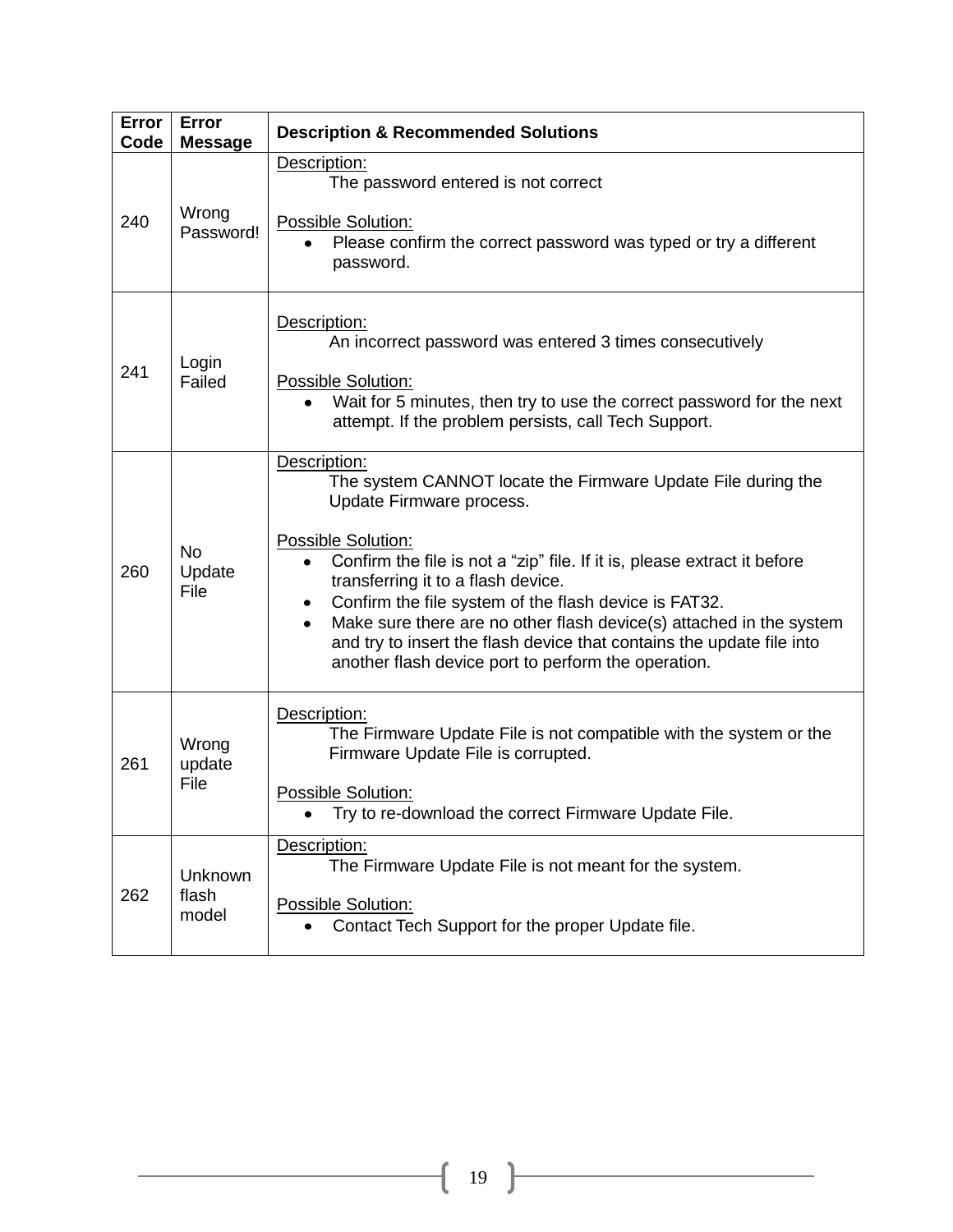| Error<br>Code | Error<br><b>Message</b>     | <b>Description &amp; Recommended Solutions</b>                                                                                                                                                                                                                                                                                                                                                                                                                                                                               |
|---------------|-----------------------------|------------------------------------------------------------------------------------------------------------------------------------------------------------------------------------------------------------------------------------------------------------------------------------------------------------------------------------------------------------------------------------------------------------------------------------------------------------------------------------------------------------------------------|
| 240           | Wrong<br>Password!          | Description:<br>The password entered is not correct<br><b>Possible Solution:</b><br>Please confirm the correct password was typed or try a different<br>password.                                                                                                                                                                                                                                                                                                                                                            |
| 241           | Login<br>Failed             | Description:<br>An incorrect password was entered 3 times consecutively<br>Possible Solution:<br>Wait for 5 minutes, then try to use the correct password for the next<br>attempt. If the problem persists, call Tech Support.                                                                                                                                                                                                                                                                                               |
| 260           | <b>No</b><br>Update<br>File | Description:<br>The system CANNOT locate the Firmware Update File during the<br>Update Firmware process.<br><b>Possible Solution:</b><br>Confirm the file is not a "zip" file. If it is, please extract it before<br>transferring it to a flash device.<br>Confirm the file system of the flash device is FAT32.<br>٠<br>Make sure there are no other flash device(s) attached in the system<br>and try to insert the flash device that contains the update file into<br>another flash device port to perform the operation. |
| 261           | Wrong<br>update<br>File     | Description:<br>The Firmware Update File is not compatible with the system or the<br>Firmware Update File is corrupted.<br>Possible Solution:<br>Try to re-download the correct Firmware Update File.                                                                                                                                                                                                                                                                                                                        |
| 262           | Unknown<br>flash<br>model   | Description:<br>The Firmware Update File is not meant for the system.<br>Possible Solution:<br>Contact Tech Support for the proper Update file.<br>$\bullet$                                                                                                                                                                                                                                                                                                                                                                 |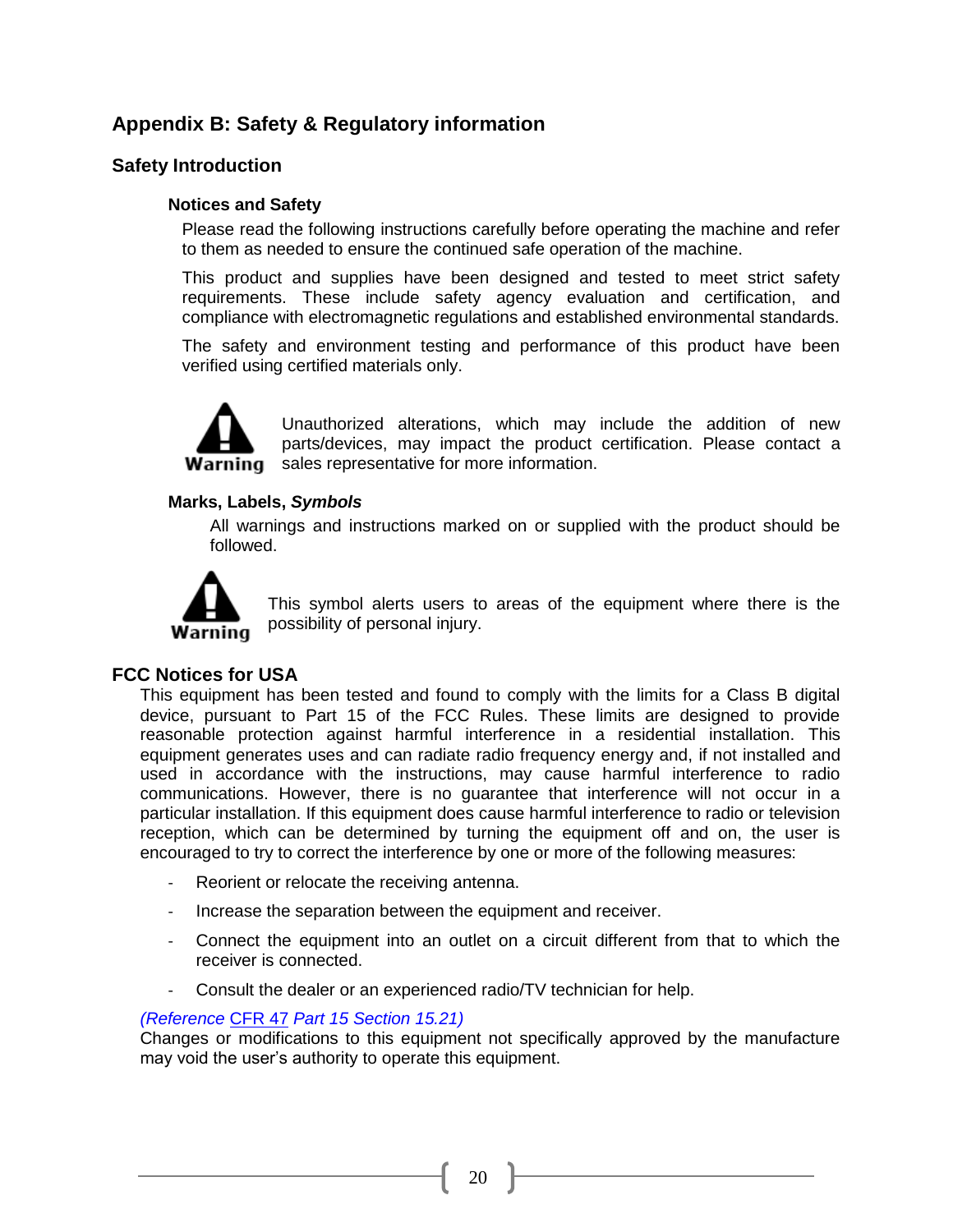#### **Appendix B: Safety & Regulatory information**

#### **Safety Introduction**

#### **Notices and Safety**

Please read the following instructions carefully before operating the machine and refer to them as needed to ensure the continued safe operation of the machine.

This product and supplies have been designed and tested to meet strict safety requirements. These include safety agency evaluation and certification, and compliance with electromagnetic regulations and established environmental standards.

The safety and environment testing and performance of this product have been verified using certified materials only.



Unauthorized alterations, which may include the addition of new parts/devices, may impact the product certification. Please contact a **Warning** sales representative for more information.

#### **Marks, Labels,** *Symbols*

All warnings and instructions marked on or supplied with the product should be followed.



This symbol alerts users to areas of the equipment where there is the possibility of personal injury.

#### **FCC Notices for USA**

This equipment has been tested and found to comply with the limits for a Class B digital device, pursuant to Part 15 of the FCC Rules. These limits are designed to provide reasonable protection against harmful interference in a residential installation. This equipment generates uses and can radiate radio frequency energy and, if not installed and used in accordance with the instructions, may cause harmful interference to radio communications. However, there is no guarantee that interference will not occur in a particular installation. If this equipment does cause harmful interference to radio or television reception, which can be determined by turning the equipment off and on, the user is encouraged to try to correct the interference by one or more of the following measures:

- Reorient or relocate the receiving antenna.
- Increase the separation between the equipment and receiver.
- Connect the equipment into an outlet on a circuit different from that to which the receiver is connected.
- Consult the dealer or an experienced radio/TV technician for help.

#### *(Reference* [CFR 47](http://www.access.gpo.gov/cgi-bin/cfrassemble.cgi?title=199847) *Part 15 Section 15.21)*

Changes or modifications to this equipment not specifically approved by the manufacture may void the user's authority to operate this equipment.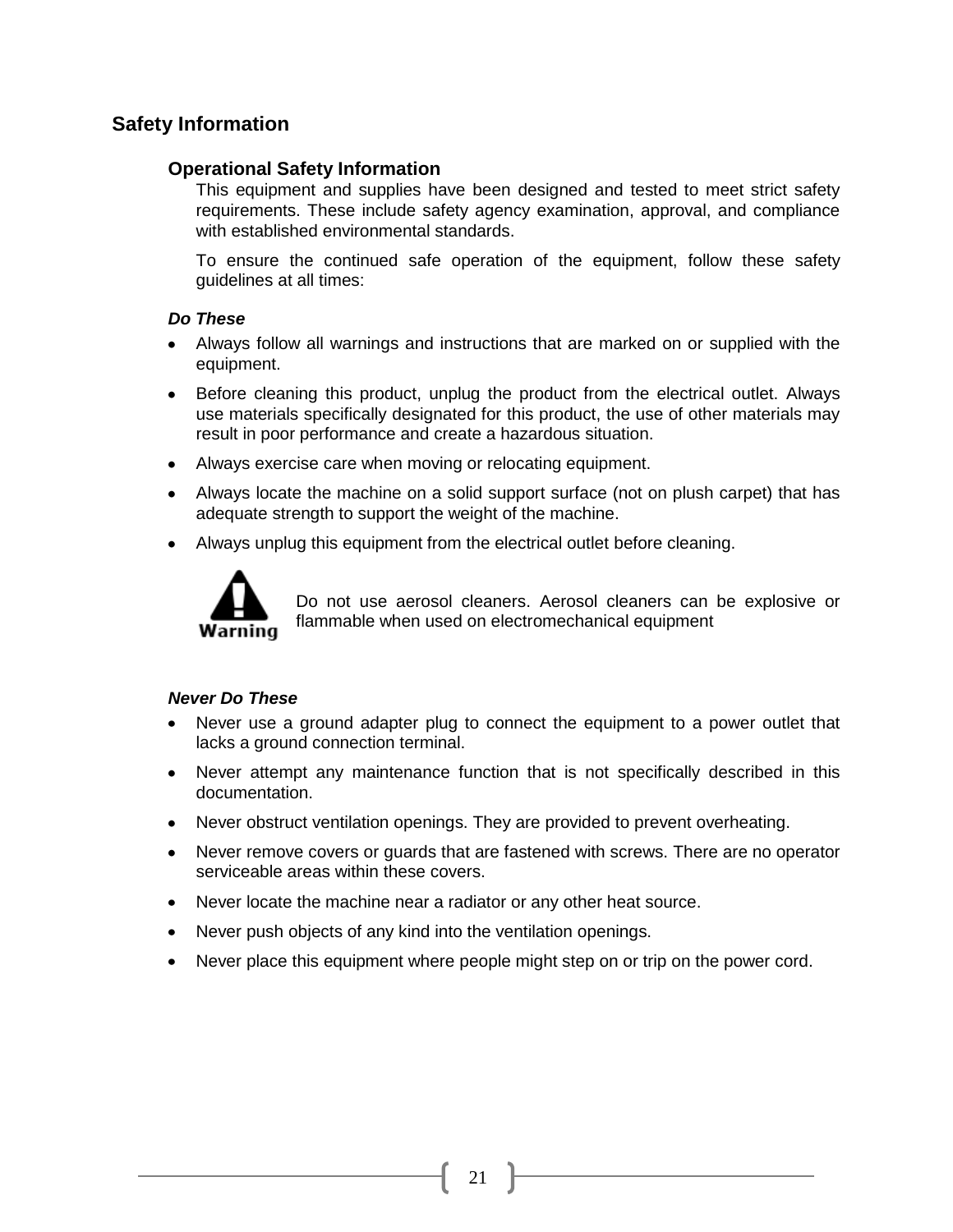#### **Safety Information**

#### **Operational Safety Information**

This equipment and supplies have been designed and tested to meet strict safety requirements. These include safety agency examination, approval, and compliance with established environmental standards.

To ensure the continued safe operation of the equipment, follow these safety guidelines at all times:

#### *Do These*

- Always follow all warnings and instructions that are marked on or supplied with the equipment.
- Before cleaning this product, unplug the product from the electrical outlet. Always use materials specifically designated for this product, the use of other materials may result in poor performance and create a hazardous situation.
- Always exercise care when moving or relocating equipment.
- Always locate the machine on a solid support surface (not on plush carpet) that has adequate strength to support the weight of the machine.
- $\bullet$ Always unplug this equipment from the electrical outlet before cleaning.



Do not use aerosol cleaners. Aerosol cleaners can be explosive or flammable when used on electromechanical equipment

#### *Never Do These*

- Never use a ground adapter plug to connect the equipment to a power outlet that lacks a ground connection terminal.
- Never attempt any maintenance function that is not specifically described in this documentation.
- Never obstruct ventilation openings. They are provided to prevent overheating.
- Never remove covers or guards that are fastened with screws. There are no operator serviceable areas within these covers.
- Never locate the machine near a radiator or any other heat source.
- Never push objects of any kind into the ventilation openings.
- Never place this equipment where people might step on or trip on the power cord.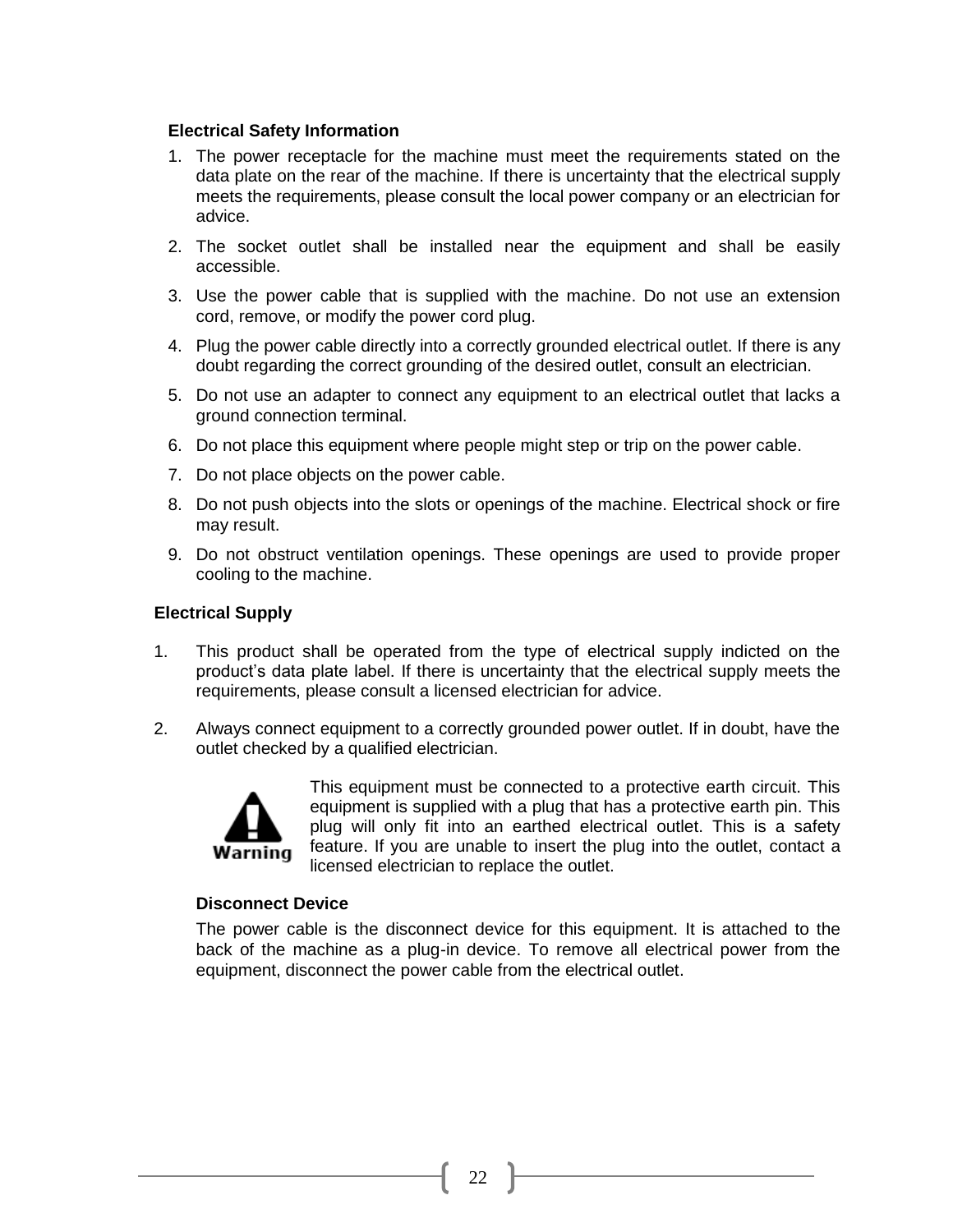#### **Electrical Safety Information**

- 1. The power receptacle for the machine must meet the requirements stated on the data plate on the rear of the machine. If there is uncertainty that the electrical supply meets the requirements, please consult the local power company or an electrician for advice.
- 2. The socket outlet shall be installed near the equipment and shall be easily accessible.
- 3. Use the power cable that is supplied with the machine. Do not use an extension cord, remove, or modify the power cord plug.
- 4. Plug the power cable directly into a correctly grounded electrical outlet. If there is any doubt regarding the correct grounding of the desired outlet, consult an electrician.
- 5. Do not use an adapter to connect any equipment to an electrical outlet that lacks a ground connection terminal.
- 6. Do not place this equipment where people might step or trip on the power cable.
- 7. Do not place objects on the power cable.
- 8. Do not push objects into the slots or openings of the machine. Electrical shock or fire may result.
- 9. Do not obstruct ventilation openings. These openings are used to provide proper cooling to the machine.

#### **Electrical Supply**

- 1. This product shall be operated from the type of electrical supply indicted on the product's data plate label. If there is uncertainty that the electrical supply meets the requirements, please consult a licensed electrician for advice.
- 2. Always connect equipment to a correctly grounded power outlet. If in doubt, have the outlet checked by a qualified electrician.



This equipment must be connected to a protective earth circuit. This equipment is supplied with a plug that has a protective earth pin. This plug will only fit into an earthed electrical outlet. This is a safety feature. If you are unable to insert the plug into the outlet, contact a licensed electrician to replace the outlet.

#### **Disconnect Device**

The power cable is the disconnect device for this equipment. It is attached to the back of the machine as a plug-in device. To remove all electrical power from the equipment, disconnect the power cable from the electrical outlet.